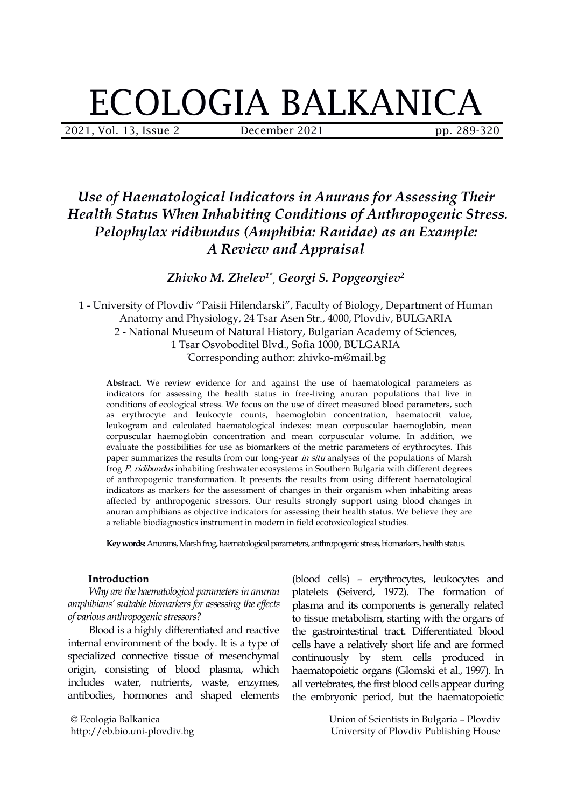# ECOLOGIA BALKANICA

2021, Vol. 13, Issue 2 **December 2021** pp. 289-320

# *Use of Haematological Indicators in Anurans for Assessing Their Health Status When Inhabiting Conditions of Anthropogenic Stress. Pelophylax ridibundus (Amphibia: Ranidae) as an Example: A Review and Appraisal*

*Zhivko M. Zhelev 1\* , Georgi S. Popgeorgiev 2*

1 - University of Plovdiv "Paisii Hilendarski", Faculty of Biology, Department of Human Anatomy and Physiology, 24 Tsar Asen Str., 4000, Plovdiv, BULGARIA 2 - National Museum of Natural History, Bulgarian Academy of Sciences, 1 Tsar Osvoboditel Blvd., Sofia 1000, BULGARIA \*Corresponding author: zhivko-m@mail.bg

**Abstract.** We review evidence for and against the use of haematological parameters as indicators for assessing the health status in free-living anuran populations that live in conditions of ecological stress. We focus on the use of direct measured blood parameters, such as erythrocyte and leukocyte counts, haemoglobin concentration, haematocrit value, leukogram and calculated haematological indexes: mean corpuscular haemoglobin, mean corpuscular haemoglobin concentration and mean corpuscular volume. In addition, we evaluate the possibilities for use as biomarkers of the metric parameters of erythrocytes. This paper summarizes the results from our long-year in situ analyses of the populations of Marsh frog P. ridibundus inhabiting freshwater ecosystems in Southern Bulgaria with different degrees of anthropogenic transformation. It presents the results from using different haematological indicators as markers for the assessment of changes in their organism when inhabiting areas affected by anthropogenic stressors. Our results strongly support using blood changes in anuran amphibians as objective indicators for assessing their health status. We believe they are a reliable biodiagnostics instrument in modern in field ecotoxicological studies.

Key words: Anurans, Marsh frog, haematological parameters, anthropogenic stress, biomarkers, health status.

#### **Introduction**

*Why arethe haematological parametersin anuran amphibians'suitable biomarkersfor assessing the efects of various anthropogenic stressors?*

Blood is a highly differentiated and reactive internal environment of the body. It is a type of specialized connective tissue of mesenchymal origin, consisting of blood plasma, which includes water, nutrients, waste, enzymes, antibodies, hormones and shaped elements

© Ecologia Balkanica http://eb.bio.uni-plovdiv.bg

(blood cells) – erythrocytes, leukocytes and platelets (Seiverd, 1972). The formation of plasma and its components is generally related to tissue metabolism, starting with the organs of the gastrointestinal tract. Differentiated blood cells have a relatively short life and are formed continuously by stem cells produced in haematopoietic organs (Glomski et al., 1997). In all vertebrates, the first blood cells appear during the embryonic period, but the haematopoietic

> Union of Scientists in Bulgaria – Plovdiv University of Plovdiv Publishing House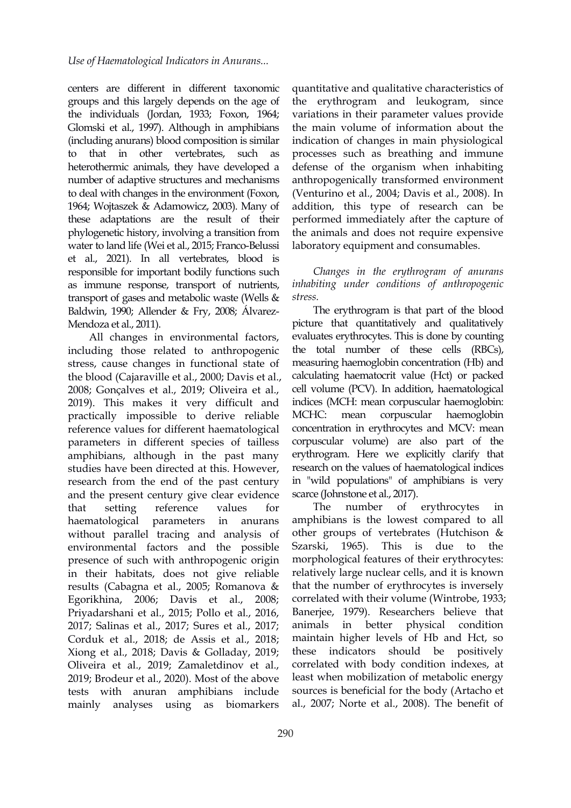centers are different in different taxonomic groups and this largely depends on the age of the individuals (Jordan, 1933; Foxon, 1964; Glomski et al., 1997). Although in amphibians (including anurans) blood composition is similar to that in other vertebrates, such as heterothermic animals, they have developed a number of adaptive structures and mechanisms to deal with changes in the environment (Foxon, 1964; Wojtaszek & Adamowicz, 2003). Many of these adaptations are the result of their phylogenetic history, involving a transition from water to land life (Wei et al., 2015; Franco-Belussi et al., 2021). In all vertebrates, blood is responsible for important bodily functions such as immune response, transport of nutrients, transport of gases and metabolic waste (Wells & Baldwin, 1990; Allender & Fry, 2008; Álvarez- Mendoza et al., 2011).

All changes in environmental factors, including those related to anthropogenic stress, cause changes in functional state of the blood (Cajaraville et al., 2000; Davis et al., 2008; Gonçalves et al., 2019; Oliveira et al., 2019). This makes it very difficult and practically impossible to derive reliable reference values for different haematological parameters in different species of tailless amphibians, although in the past many studies have been directed at this. However, research from the end of the past century and the present century give clear evidence that setting reference values for haematological parameters in anurans without parallel tracing and analysis of environmental factors and the possible presence of such with anthropogenic origin in their habitats, does not give reliable results (Cabagna et al., 2005; Romanova & Egorikhina, 2006; Davis et al., 2008; Priyadarshani et al., 2015; Pollo et al., 2016, 2017; Salinas et al., 2017; Sures et al., 2017; Corduk et al., 2018; de Assis et al., 2018; Xiong et al., 2018; Davis & Golladay, 2019; Oliveira et al., 2019; Zamaletdinov et al., 2019; Brodeur et al., 2020). Most of the above tests with anuran amphibians include mainly analyses using as biomarkers

quantitative and qualitative characteristics of the erythrogram and leukogram, since variations in their parameter values provide the main volume of information about the indication of changes in main physiological processes such as breathing and immune defense of the organism when inhabiting anthropogenically transformed environment (Venturino et al., 2004; Davis et al., 2008). In addition, this type of research can be performed immediately after the capture of the animals and does not require expensive laboratory equipment and consumables.

## *Changes in the erythrogram of anurans inhabiting under conditions of anthropogenic stress.*

The erythrogram is that part of the blood picture that quantitatively and qualitatively evaluates erythrocytes. This is done by counting the total number of these cells (RBCs), measuring haemoglobin concentration (Hb) and calculating haematocrit value (Hct) or packed cell volume (PCV). In addition, haematological indices (MCH: mean corpuscular haemoglobin: corpuscular haemoglobin concentration in erythrocytes and MCV: mean corpuscular volume) are also part of the erythrogram. Here we explicitly clarify that research on the values of haematological indices in "wild populations" of amphibians is very scarce (Johnstone et al., 2017).

The number of erythrocytes in amphibians is the lowest compared to all other groups of vertebrates (Hutchison & 1965). This is due to the morphological features of their erythrocytes: relatively large nuclear cells, and it is known that the number of erythrocytes is inversely correlated with their volume (Wintrobe, 1933; Banerjee, 1979). Researchers believe that in better physical condition maintain higher levels of Hb and Hct, so indicators should be positively correlated with body condition indexes, at least when mobilization of metabolic energy sources is beneficial for the body (Artacho et al., 2007; Norte et al., 2008). The benefit of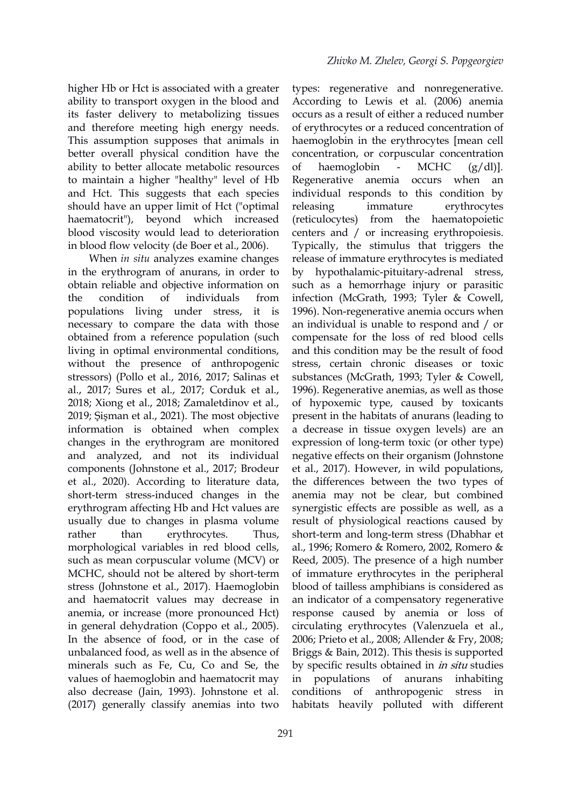higher Hb or Hct is associated with a greater ability to transport oxygen in the blood and its faster delivery to metabolizing tissues and therefore meeting high energy needs. This assumption supposes that animals in better overall physical condition have the ability to better allocate metabolic resources to maintain a higher "healthy" level of Hb and Hct. This suggests that each species should have an upper limit of Hct ("optimal releasing haematocrit"), beyond which increased (reticulocytes) blood viscosity would lead to deterioration in blood flow velocity (de Boer et al., 2006).

When *in situ* analyzes examine changes in the erythrogram of anurans, in order to obtain reliable and objective information on the condition of individuals from infection (McGrath, 1993; Tyler & Cowell, populations living under stress, it is necessary to compare the data with those obtained from a reference population (such living in optimal environmental conditions, without the presence of anthropogenic stressors) (Pollo et al., 2016, 2017; Salinas et al., 2017; Sures et al., 2017; Corduk et al., 2018; Xiong et al., 2018; Zamaletdinov et al., 2019; Şişman et al., 2021). The most objective information is obtained when complex changes in the erythrogram are monitored and analyzed, and not its individual components (Johnstone et al., 2017; Brodeur et al., 2020). According to literature data, short-term stress-induced changes in the erythrogram affecting Hb and Hct values are usually due to changes in plasma volume rather than erythrocytes. Thus, morphological variables in red blood cells, such as mean corpuscular volume (MCV) or MCHC, should not be altered by short-term stress (Johnstone et al., 2017). Haemoglobin and haematocrit values may decrease in anemia, or increase (more pronounced Hct) in general dehydration (Coppo et al., 2005). In the absence of food, or in the case of unbalanced food, as well as in the absence of minerals such as Fe, Cu, Co and Se, the values of haemoglobin and haematocrit may in populations of anurans also decrease (Jain, 1993). Johnstone et al. (2017) generally classify anemias into two

291

types: regenerative and nonregenerative. According to Lewis et al. (2006) anemia occurs as a result of either a reduced number of erythrocytes or a reduced concentration of haemoglobin in the erythrocytes [mean cell concentration, or corpuscular concentration haemoglobin - MCHC  $(g/dl)$ ]. Regenerative anemia occurs when an individual responds to this condition by immature erythrocytes from the haematopoietic centers and / or increasing erythropoiesis. Typically, the stimulus that triggers the release of immature erythrocytes is mediated by hypothalamic-pituitary-adrenal stress, such as a hemorrhage injury or parasitic 1996). Non-regenerative anemia occurs when an individual is unable to respond and / or compensate for the loss of red blood cells and this condition may be the result of food stress, certain chronic diseases or toxic substances (McGrath, 1993; Tyler & Cowell, 1996). Regenerative anemias, as well as those of hypoxemic type, caused by toxicants present in the habitats of anurans (leading to a decrease in tissue oxygen levels) are an expression of long-term toxic (or other type) negative effects on their organism (Johnstone et al., 2017). However, in wild populations, the differences between the two types of anemia may not be clear, but combined synergistic effects are possible as well, as a result of physiological reactions caused by short-term and long-term stress (Dhabhar et al., 1996; Romero & Romero, 2002, Romero & Reed, 2005). The presence of a high number of immature erythrocytes in the peripheral blood of tailless amphibians is considered as an indicator of a compensatory regenerative response caused by anemia or loss of circulating erythrocytes (Valenzuela et al., 2006; Prieto et al., 2008; Allender & Fry, 2008; Briggs & Bain, 2012). This thesis is supported by specific results obtained in *in situ* studies in populations of anurans inhabiting of anthropogenic stress in habitats heavily polluted with different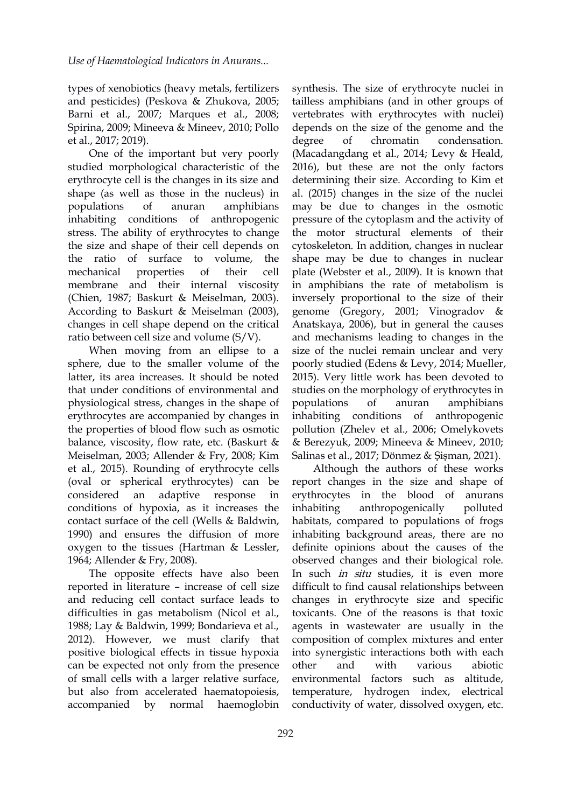types of xenobiotics (heavy metals, fertilizers and pesticides) (Peskova & Zhukova, 2005; Barni et al., 2007; Маrques et al., 2008; Spirina, 2009; Mineeva & Mineev, 2010; Pollo et al., 2017; 2019).

One of the important but very poorly studied morphological characteristic of the erythrocyte cell is the changes in its size and shape (as well as those in the nucleus) in inhabiting conditions of anthropogenic stress. The ability of erythrocytes to change the size and shape of their cell depends on mechanical properties of their cell membrane and their internal viscosity (Chien, 1987; Baskurt & Meiselman, 2003). According to Baskurt & Meiselman (2003), changes in cell shape depend on the critical ratio between cell size and volume (S/V).

When moving from an ellipse to a sphere, due to the smaller volume of the latter, its area increases. It should be noted that under conditions of environmental and physiological stress, changes in the shape of erythrocytes are accompanied by changes in the properties of blood flow such as osmotic balance, viscosity, flow rate, etc. (Baskurt  $\&$ Meiselman, 2003; Allender & Fry, 2008; Kim et al., 2015). Rounding of erythrocyte cells (oval or spherical erythrocytes) can be conditions of hypoxia, as it increases the contact surface of the cell (Wells & Baldwin, 1990) and ensures the diffusion of more oxygen to the tissues (Hartman & Lessler, 1964; Allender & Fry, 2008).

The opposite effects have also been reported in literature – increase of cell size and reducing cell contact surface leads to difficulties in gas metabolism (Nicol et al., 1988; Lay & Baldwin, 1999; Bondarieva et al., 2012). However, we must clarify that positive biological effects in tissue hypoxia can be expected not only from the presence other and with of small cells with a larger relative surface, but also from accelerated haematopoiesis,

populations of anuran amphibians may be due to changes in the osmotic the ratio of surface to volume, the shape may be due to changes in nuclear synthesis. The size of erythrocyte nuclei in tailless amphibians (and in other groups of vertebrates with erythrocytes with nuclei) depends on the size of the genome and the degree of chromatin condensation. (Macadangdang еt al., 2014; Levy & Heald, 2016), but these are not the only factors determining their size. According to Kim et al. (2015) changes in the size of the nuclei pressure of the cytoplasm and the activity of the motor structural elements of their cytoskeleton. In addition, changes in nuclear plate (Webster et al.,2009). It is known that in amphibians the rate of metabolism is inversely proportional to the size of their genome (Gregory, 2001; Vinogradov & Anatskaya, 2006), but in general the causes and mechanisms leading to changes in the size of the nuclei remain unclear and very poorly studied (Edens & Levy, 2014; Mueller, 2015). Very little work has been devoted to studies on the morphology of erythrocytes in of anuran amphibians inhabiting conditions of anthropogenic pollution (Zhelev et al., 2006; Omelykovets & Berezyuk, 2009; Mineeva & Mineev, 2010; Salinas et al., 2017; Dönmez & Şişman, 2021).

considered an adaptive response in erythrocytes in the blood of anurans accompanied by normal haemoglobin conductivity of water, dissolved oxygen, etc.Although the authors of these works report changes in the size and shape of anthropogenically polluted habitats, compared to populations of frogs inhabiting background areas, there are no definite opinions about the causes of the observed changes and their biological role. In such *in situ* studies, it is even more difficult to find causal relationships between changes in erythrocyte size and specific toxicants. One of the reasons is that toxic agents in wastewater are usually in the composition of complex mixtures and enter into synergistic interactions both with each other and with various abiotic environmental factors such as altitude, temperature, hydrogen index, electrical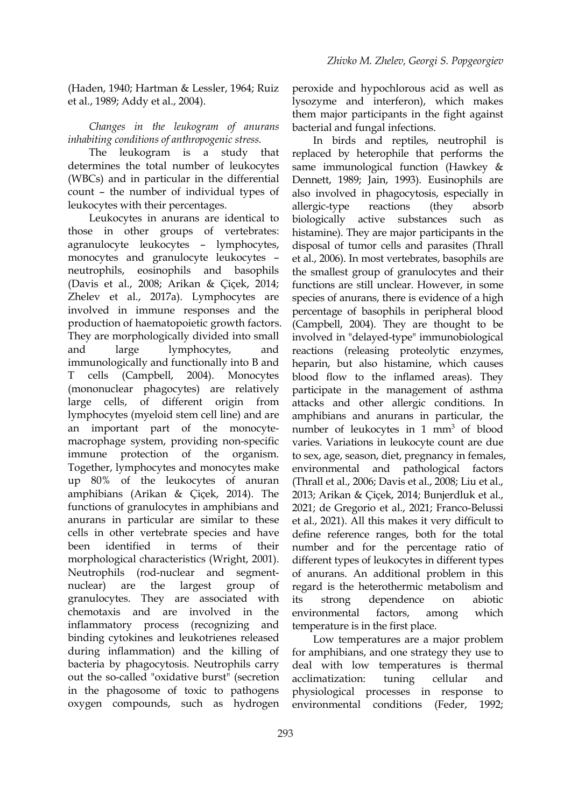(Haden, 1940; Hartman & Lessler, 1964; Ruiz et al., 1989; Addy et al., 2004).

*Changes in the leukogram of anurans inhabiting conditions of anthropogenic stress.*

The leukogram is a study that determines the total number of leukocytes (WBCs) and in particular in the differential count – the number of individual types of leukocytes with their percentages.

Leukocytes in anurans are identical to those in other groups of vertebrates: agranulocyte leukocytes – lymphocytes, monocytes and granulocyte leukocytes – neutrophils, eosinophils and basophils (Davis et al., 2008; Arikan & Çiçek, 2014; Zhelev et al., 2017a). Lymphocytes are involved in immune responses and the production of haematopoietic growth factors. They are morphologically divided into small immunologically and functionally into B and T cells (Campbell, 2004). Monocytes (mononuclear phagocytes) are relatively large cells, of different origin from lymphocytes (myeloid stem cell line) and are an important part of the monocyte macrophage system, providing non-specific immune protection of the organism. Together, lymphocytes and monocytes make up 80% of the leukocytes of anuran (Thrall et al., 2006; Davis et al., 2008; Liu et al., amphibians (Arikan & Çiçek, 2014). The functions of granulocytes in amphibians and anurans in particular are similar to these cells in other vertebrate species and have morphological characteristics (Wright, 2001). Neutrophils (rod-nuclear and segment granulocytes. They are associated with chemotaxis and are involved in the environmental factors, inflammatory process (recognizing and temperature is in the first place. binding cytokines and leukotrienes released during inflammation) and the killing of bacteria by phagocytosis. Neutrophils carry out the so-called "oxidative burst" (secretion acclimatization: tuning in the phagosome of toxic to pathogens oxygen compounds, such as hydrogen

peroxide and hypochlorous acid as well as lysozyme and interferon), which makes them major participants in the fight against bacterial and fungal infections.

and large lymphocytes, and reactions (releasing proteolytic enzymes, been identified in terms of their number and for the percentage ratio of nuclear) are the largest group of regard is the heterothermic metabolism and In birds and reptiles, neutrophil is replaced by heterophile that performs the same immunological function (Hawkey & Dennett, 1989; Jain, 1993). Eusinophils are also involved in phagocytosis, especially in allergic-type reactions (they absorb biologically active substances such as histamine). They are major participants in the disposal of tumor cells and parasites (Thrall et al., 2006). In most vertebrates, basophils are the smallest group of granulocytes and their functions are still unclear. However, in some species of anurans, there is evidence of a high percentage of basophils in peripheral blood (Campbell, 2004). They are thought to be involved in "delayed-type" immunobiological heparin, but also histamine, which causes blood flow to the inflamed areas). They participate in the management of asthma attacks and other allergic conditions. In amphibians and anurans in particular, the number of leukocytes in 1 mm<sup>3</sup> of blood varies. Variations in leukocyte count are due to sex, age, season, diet, pregnancy in females, and pathological factors 2013; Arikan & Çiçek, 2014; Bunjerdluk et al., 2021; de Gregorio et al., 2021; Franco-Belussi et al., 2021). All this makes it very difficult to define reference ranges, both for the total different types of leukocytes in different types of anurans. An additional problem in this dependence on abiotic environmental factors, among which

Low temperatures are a major problem for amphibians, and one strategy they use to deal with low temperatures is thermal acclimatization: tuning cellular and physiological processes in response to environmental conditions (Feder, 1992;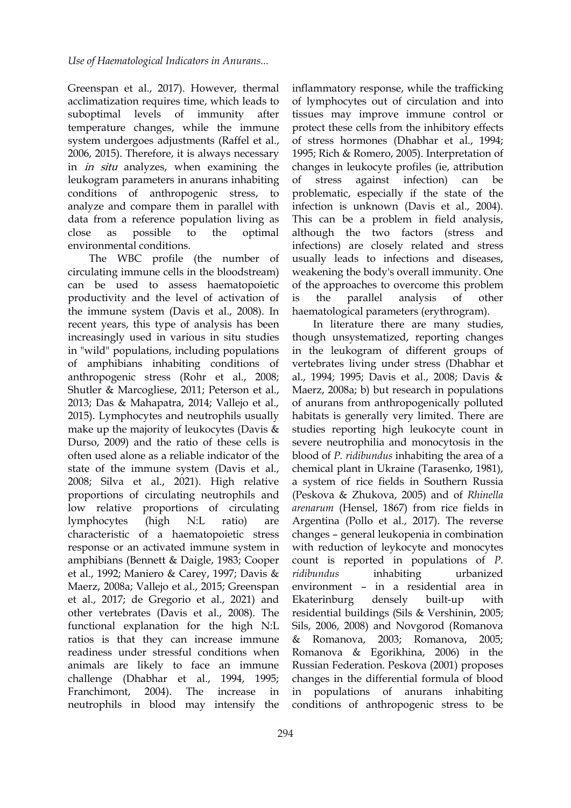Greenspan et al., 2017). However, thermal acclimatization requires time, which leads to suboptimal levels of immunity after temperature changes, while the immune system undergoes adjustments (Raffel et al., 2006, 2015). Therefore, it is always necessary in *in situ* analyzes, when examining the leukogram parameters in anurans inhabiting conditions of anthropogenic stress, to analyze and compare them in parallel with data from a reference population living as environmental conditions.

The WBC profile (the number of circulating immune cells in the bloodstream) can be used to assess haematopoietic productivity and the level of activation of is the parallel the immune system (Davis et al., 2008). In recent years, this type of analysis has been increasingly used in various in situ studies in "wild" populations, including populations of amphibians inhabiting conditions of anthropogenic stress (Rohr et al., 2008; Shutler & Marcogliese, 2011; Peterson et al., 2013; Das & Mahapatra, 2014; Vallejo et al., 2015). Lymphocytes and neutrophils usually make up the majority of leukocytes (Davis & Durso, 2009) and the ratio of these cells is often used alone as a reliable indicator of the state of the immune system (Davis et al., 2008; Silva et al., 2021). High relative proportions of circulating neutrophils and low relative proportions of circulating characteristic of a haematopoietic stress response or an activated immune system in amphibians (Bennett & Daigle, 1983; Cooper et al., 1992; Maniero & Carey, 1997; Davis & Maerz, 2008a; Vallejo et al., 2015; Greenspan et al., 2017; de Gregorio et al., 2021) and other vertebrates (Davis et al.,2008). The functional explanation for the high N:L ratios is that they can increase immune & Romanova, readiness under stressful conditions when animals are likely to face an immune challenge (Dhabhar et al., 1994, 1995; neutrophils in blood may intensify the

close as possible to the optimal although the two factors (stress and inflammatory response, while the trafficking of lymphocytes out of circulation and into tissues may improve immune control or protect these cells from the inhibitory effects of stress hormones (Dhabhar et al., 1994; 1995; Rich & Romero, 2005). Interpretation of changes in leukocyte profiles (ie, attribution against infection) can be problematic, especially if the state of the infection is unknown (Davis et al., 2004). This can be a problem in field analysis, infections) are closely related and stress usually leads to infections and diseases, weakening the body's overall immunity. One of the approaches to overcome this problem analysis of other haematological parameters (erythrogram).

lymphocytes (high N:L ratio) are Argentina (Pollo et al., 2017). The reverse Franchimont, 2004). The increase in in populations of anurans inhabiting In literature there are many studies, though unsystematized, reporting changes in the leukogram of different groups of vertebrates living under stress (Dhabhar et al., 1994; 1995; Davis et al., 2008; Davis & Maerz, 2008a; b) but research in populations of anurans from anthropogenically polluted habitats is generally very limited. There are studies reporting high leukocyte count in severe neutrophilia and monocytosis in the blood of *P. ridibundus* inhabiting the area of a chemical plant in Ukraine (Tarasenko, 1981), a system of rice fields in Southern Russia (Peskova & Zhukova, 2005) and of *Rhinella arenarum* (Hensel, 1867) from rice fields in changes – general leukopenia in combination with reduction of leykocyte and monocytes count is reported in populations of*P. inhabiting* urbanized environment – in a residential area in Ekaterinburg densely built-up with residential buildings (Sils & Vershinin, 2005; Sils, 2006, 2008) and Novgorod (Romanova & Romanova, 2003; Romanova, 2005; Romanova & Egorikhina, 2006) in the Russian Federation. Peskova (2001) proposes changes in the differential formula of blood conditions of anthropogenic stress to be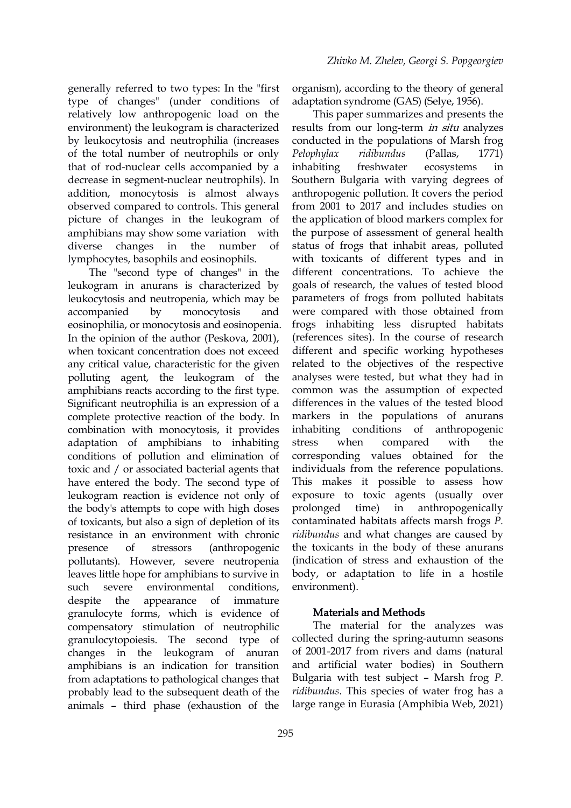generally referred to two types: In the "first" type of changes" (under conditions of relatively low anthropogenic load on the environment) the leukogram is characterized by leukocytosis and neutrophilia (increases of the total number of neutrophils or only Pelophylax ridibundus that of rod-nuclear cells accompanied by a decrease in segment-nuclear neutrophils). In addition, monocytosis is almost always observed compared to controls. This general picture of changes in the leukogram of amphibians may show some variation with diverse changes in the number of lymphocytes, basophils and eosinophils.

The "second type of changes" in the leukogram in anurans is characterized by leukocytosis and neutropenia, which may be eosinophilia, or monocytosis and eosinopenia. In the opinion of the author (Peskova, 2001), when toxicant concentration does not exceed any critical value, characteristic for the given polluting agent, the leukogram of the amphibians reacts according to the first type. Significant neutrophilia is an expression of a complete protective reaction of the body. In combination with monocytosis, it provides adaptation of amphibians to inhabiting conditions of pollution and elimination of toxic and / or associated bacterial agents that have entered the body. The second type of leukogram reaction is evidence not only of the body's attempts to cope with high doses of toxicants, but also a sign of depletion of its resistance in an environment with chronic pollutants). However, severe neutropenia leaves little hope for amphibians to survive in such severe environmental conditions, despite the appearance of immature granulocyte forms, which is evidence of compensatory stimulation of neutrophilic granulocytopoiesis. The second type of changes in the leukogram of anuran amphibians is an indication for transition from adaptations to pathological changes that probably lead to the subsequent death of the animals – third phase (exhaustion of the

organism), according to the theory of general adaptation syndrome (GAS) (Selye, 1956).

accompanied by monocytosis and were compared with those obtained from presence of stressors (anthropogenic the toxicants in the body of these anurans This paper summarizes and presents the results from our long-term in situ analyzes conducted in the populations of Marsh frog *Pelophylax ridibundus* (Pallas, 1771) ecosystems in Southern Bulgaria with varying degrees of anthropogenic pollution. It covers the period from 2001 to 2017 and includes studies on the application of blood markers complex for the purpose of assessment of general health status of frogs that inhabit areas, polluted with toxicants of different types and in different concentrations. To achieve the goals of research, the values of tested blood parameters of frogs from polluted habitats frogs inhabiting less disrupted habitats (references sites). In the course of research different and specific working hypotheses related to the objectives of the respective analyses were tested, but what they had in common was the assumption of expected differences in the values of the tested blood markers in the populations of anurans inhabiting conditions of anthropogenic compared with the corresponding values obtained for the individuals from the reference populations. This makes it possible to assess how exposure to toxic agents (usually over prolonged time) in anthropogenically contaminated habitats affects marsh frogs *P. ridibundus* and what changes are caused by (indication of stress and exhaustion of the body, or adaptation to life in a hostile environment).

#### Materials and Methods

The material for the analyzes was collected during the spring-autumn seasons of 2001-2017 from rivers and dams (natural and artificial water bodies) in Southern Bulgaria with test subject – Marsh frog *P. ridibundus*. This species of water frog has a large range in Eurasia (Amphibia Web, 2021)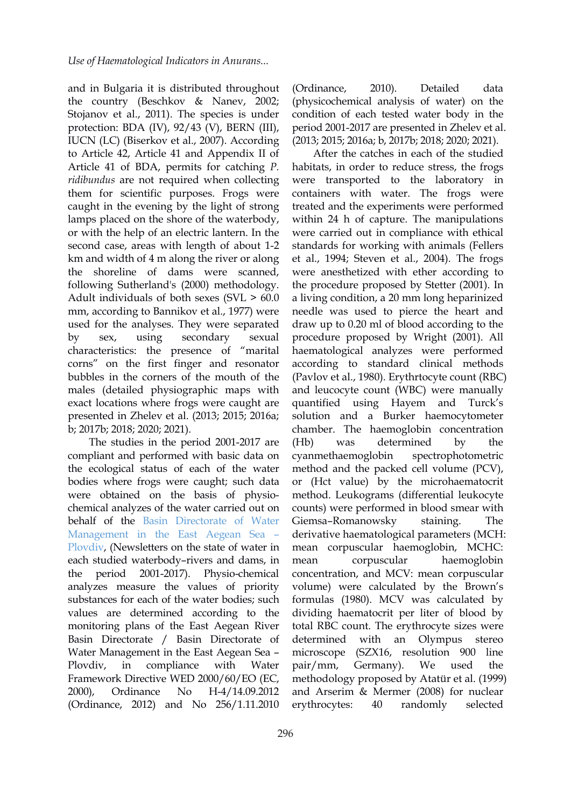and in Bulgaria it is distributed throughout the country (Beschkov & Nanev, 2002; Stojanov et al., 2011). The species is under protection: BDA (IV), 92/43(V), BERN (III), IUCN (LC) (Biserkov et al., 2007). According to Article 42, Article 41 and Appendix II of Article 41 of BDA, permits for catching *P. ridibundus* are not required when collecting them for scientific purposes. Frogs were caught in the evening by the light of strong lamps placed on the shore of the waterbody, or with the help of an electric lantern.In the second case, areas with length of about 1-2 km and width of 4 m along the river or along the shoreline of dams were scanned, following Sutherland's (2000) methodology. Adult individuals of both sexes (SVL > 60.0 mm, according to Bannikov et al., 1977) were used for the analyses. They were separated characteristics: the presence of "marital corns" on the first finger and resonator bubbles in the corners of the mouth of the males (detailed physiographic maps with exact locations where frogs were caught are presented in Zhelev et al. (2013; 2015; 2016a; b; 2017b; 2018; 2020; 2021).

The studies in the period 2001-2017 are (Hb) was compliant and performed with basic data on the ecological status of each of the water bodies where frogs were caught; such data were obtained on the basis of physiochemical analyzes of the water carried out on behalf of the Basin [Directorate](https://earbd.bg) of Water Management in the East Aegean Sea – Plovdiv, (Newsletters on the state of water in each studied waterbody-rivers and dams, in mean corpuscular the period 2001-2017). Physio-chemical analyzes measure the values of priority substances for each of the water bodies; such values are determined according to the monitoring plans of the East Aegean River Basin Directorate / Basin Directorate of determined Water Management in the East Aegean Sea – Plovdiv, in compliance with Water pair/mm, Framework Directive WED 2000/60/EO (ЕC, (Ordinance, 2012) and No 256/1.11.2010

(Ordinance, 2010). Detailed data (physicochemical analysis of water) on the condition of each tested water body in the period 2001-2017 are presented in Zhelev et al. (2013; 2015; 2016a; b, 2017b; 2018; 2020; 2021).

by sex, using secondary sexual procedure proposed by Wright (2001). All 2000), Ordinance No H-4/14.09.2012 and Arserim & Mermer (2008) for nuclear After the catches in each of the studied habitats, in order to reduce stress, the frogs were transported to the laboratory in containers with water. The frogs were treated and the experiments were performed within 24 h of capture. The manipulations were carried out in compliance with ethical standards for working with animals (Fellers et al., 1994; Steven et al., 2004). The frogs were anesthetized with ether according to the procedure proposed by Stetter (2001). In a living condition, a 20 mm long heparinized needle was used to pierce the heart and draw up to 0.20 ml of blood according to the haematological analyzes were performed according to standard clinical methods (Pavlov et al., 1980). Erythrtocyte count (RBC) and leucocyte count (WBC) were manually quantified using Hayem and Turck's solution and a Burker haemocytometer chamber. The haemoglobin concentration determined by the cyanmethaemoglobin spectrophotometric method and the packed cell volume (PCV), or (Hct value) by the microhaematocrit method. Leukograms (differential leukocyte counts) were performed in blood smear with Giemsa–Romanowsky staining. The derivative haematological parameters (MCH: mean corpuscular haemoglobin, MCHC: haemoglobin concentration, and MCV: mean corpuscular volume) were calculated by the Brown's formulas (1980). MCV was calculated by dividing haematocrit per liter of blood by total RBC count. The erythrocyte sizes were with an Olympus stereo microscope (SZX16, resolution 900 line Germany). We used the methodology proposed by Atatür et al. (1999) erythrocytes: 40 randomly selected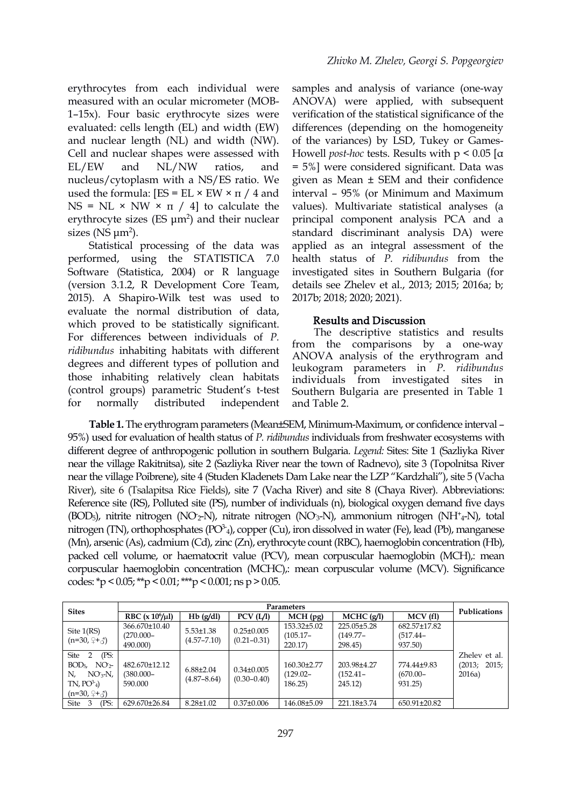erythrocytes from each individual were measured with an ocular micrometer (MOB- 1–15x). Four basic erythrocyte sizes were evaluated: cells length (EL) and width (EW) and nuclear length (NL) and width (NW). Cell and nuclear shapes were assessed with nucleus/cytoplasm with a NS/ES ratio. We used the formula:  $[ES = EL \times EW \times \pi / 4$  and NS = NL  $\times$  NW  $\times$   $\pi$  / 4] to calculate the erythrocyte sizes (ES  $\mu$ m<sup>2</sup>) and their nuclear sizes ( $NS \mu m^2$ ).

Statistical processing of the data was performed, using the STATISTICA 7.0 Software (Statistica, 2004) or R language (version  $3.1.2$ , R Development Core Team, 2015). A Shapiro-Wilk test was used to evaluate the normal distribution of data, which proved to be statistically significant. For differences between individuals of *P.ridibundus* inhabiting habitats with different degrees and different types of pollution and those inhabiting relatively clean habitats (control groups) parametric Student's t-test for normally distributed independent

EL/EW and NL/NW ratios, and = 5%] were considered significant. Data was samples and analysis of variance (one-way ANOVA) were applied, with subsequent verification of the statistical significance of the differences (depending on the homogeneity of the variances) by LSD, Tukey or Games- Howell *post-hoc* tests. Results with p < 0.05[α given as Mean ± SEM and their confidence interval – 95% (or Minimum and Maximum values). Multivariate statistical analyses (a principal component analysis PCA and a standard discriminant analysis DA) were applied as an integral assessment of the health status of*P. ridibundus* from the investigated sites in Southern Bulgaria (for details see Zhelev et al., 2013; 2015; 2016a; b; 2017b; 2018; 2020; 2021).

#### Results and Discussion

The descriptive statistics and results from the comparisons by a one-way ANOVA analysis of the erythrogram and leukogram parameters in *P. ridibundus* individuals from investigated sites in Southern Bulgaria are presented in Table 1 and Table 2.

**Table 1.** The erythrogram parameters (Mean±SEM, Minimum-Maximum, or confidence interval – 95%) used for evaluation of health status of *P. ridibundus* individuals from freshwater ecosystems with different degree of anthropogenic pollution in southern Bulgaria. *Legend:* Sites: Site 1 (Sazliyka River near the village Rakitnitsa), site 2 (Sazliyka River near the town of Radnevo), site 3 (Topolnitsa River near the village Poibrene), site 4 (Studen Kladenets Dam Lake near the LZP "Kardzhali"), site 5 (Vacha River), site 6 (Tsalapitsa Rice Fields), site 7 (Vacha River) and site 8 (Chaya River). Abbreviations: Reference site (RS), Polluted site (PS), number of individuals (n), biological oxygen demand five days (BOD5), nitrite nitrogen (NO-2-N), nitrate nitrogen (NO-3-N), ammonium nitrogen (NH<sup>+</sup> <sup>4</sup>-N), total nitrogen (TN), orthophosphates ( $PO<sup>3</sup>$ <sub>4</sub>), copper (Cu), iron dissolved in water (Fe), lead (Pb), manganese (Mn), arsenic (As), cadmium (Cd), zinc (Zn), erythrocyte count(RBC), haemoglobin concentration (Hb), packed cell volume, or haematocrit value (PCV), mean corpuscular haemoglobin (MCH),: mean corpuscular haemoglobin concentration (MCHC),: mean corpuscular volume (MCV). Significance codes: \*p < 0.05; \*\*p < 0.01; \*\*\*p < 0.001; ns p > 0.05.

| <b>Sites</b>                                                                                                  |                                           | <b>Publications</b>                |                                     |                                       |                                      |                                        |                                            |
|---------------------------------------------------------------------------------------------------------------|-------------------------------------------|------------------------------------|-------------------------------------|---------------------------------------|--------------------------------------|----------------------------------------|--------------------------------------------|
|                                                                                                               | RBC $(x 10^6/\mu l)$                      | $Hb$ (g/dl)                        | PCV (L/I)                           | $MCH$ (pg)                            | $MCHC$ (g/l)                         | MCV (fl)                               |                                            |
| Site $1(RS)$<br>$(n=30, 2+\xi)$                                                                               | 366.670±10.40<br>$(270.000 -$<br>490,000) | $5.53 \pm 1.38$<br>$(4.57 - 7.10)$ | $0.25 \pm 0.005$<br>$(0.21 - 0.31)$ | 153.32±5.02<br>$(105.17 -$<br>220.17) | 225.05±5.28<br>$(149.77 -$<br>298.45 | 682.57±17.82<br>$(517.44 -$<br>937.50) |                                            |
| (PS:<br>Site 2<br>$\rm NO_{2}$<br>BOD <sub>5</sub><br>$NO3-N$ ,<br>N.<br>$TN$ , $PO^2_4$ )<br>$(n=30, 2+\xi)$ | 482.670±12.12<br>$(380.000 -$<br>590.000  | $6.88 \pm 2.04$<br>$(4.87 - 8.64)$ | $0.34 \pm 0.005$<br>$(0.30 - 0.40)$ | 160.30±2.77<br>$(129.02 -$<br>186.25  | 203.98±4.27<br>$(152.41 -$<br>245.12 | 774.44±9.83<br>$(670.00 -$<br>931.25)  | Zhelev et al.<br>2015;<br>(2013;<br>2016a) |
| (PS:<br>Site 3                                                                                                | 629.670±26.84                             | $8.28 \pm 1.02$                    | $0.37 \pm 0.006$                    | 146.08±5.09                           | 221.18±3.74                          | 650.91±20.82                           |                                            |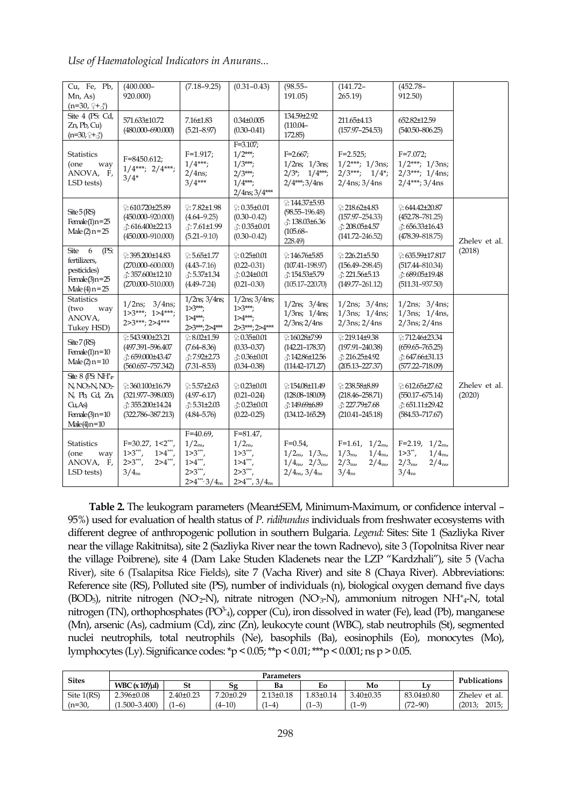| Cu, Fe, Pb,<br>Mn, As)<br>$(n=30, 9+3)$                                                                                                                | $(400.000 -$<br>920.000)                                                                              | $(7.18 - 9.25)$                                                                         | $(0.31 - 0.43)$                                                                              | $(98.55 -$<br>191.05                                                                                                  | $(141.72 -$<br>265.19                                                                                        | $(452.78 -$<br>912.50)                                                                                     |                         |  |
|--------------------------------------------------------------------------------------------------------------------------------------------------------|-------------------------------------------------------------------------------------------------------|-----------------------------------------------------------------------------------------|----------------------------------------------------------------------------------------------|-----------------------------------------------------------------------------------------------------------------------|--------------------------------------------------------------------------------------------------------------|------------------------------------------------------------------------------------------------------------|-------------------------|--|
| Site 4 (PS: Cd,<br>$Zn$ , Pb, Cu)<br>$(n=30, 2+\xi)$                                                                                                   | 571.633±10.72<br>$(480.000 - 690.000)$                                                                | 7.16±1.83<br>$(5.21 - 8.97)$                                                            | $0.34 \pm 0.005$<br>$(0.30 - 0.41)$                                                          | 134.59±2.92<br>$(110.04 -$<br>172.85)                                                                                 | 211.65±4.13<br>$(157.97 - 254.53)$                                                                           | 652.82±12.59<br>$(540.50 - 806.25)$                                                                        |                         |  |
| <b>Statistics</b><br>(one<br>way<br>ANOVA, F,<br>LSD tests)                                                                                            | $F = 8450.612;$<br>$1/4***; 2/4***;$<br>$3/4*$                                                        | $F=1.917;$<br>$1/4***;$<br>$2/4$ ns;<br>$3/4***$                                        | $F = 3.107$ ;<br>$1/2***;$<br>$1/3***;$<br>$2/3***;$<br>$1/4$ ***;<br>$2/4$ ns; $3/4$ ***    | $F = 2.667$ ;<br>$1/2$ ns; $1/3$ ns;<br>$2/3$ ; $1/4$ ***;<br>$2/4$ ***;3/4ns                                         | $F=2.525$ ;<br>$1/2***; 1/3$ ns;<br>$2/3***; 1/4*;$<br>$2/4$ ns; $3/4$ ns                                    | $F = 7.072$ ;<br>$1/2***; 1/3$ ns;<br>$2/3***; 1/4$ ns;<br>$2/4***;3/4ns$                                  |                         |  |
| $\text{Site }5(\text{RS})$<br>Female(1) $n=25$<br>Male (2) $n = 25$                                                                                    | $2:610.720 + 25.89$<br>$(450.000 - 920.000)$<br>$\therefore$ 616.400±22.13<br>$(450.000 - 910.000)$   | $9:7.82 \pm 1.98$<br>$(4.64 - 9.25)$<br>₹:7.61±1.99<br>$(5.21 - 9.10)$                  | $9:0.35\pm0.01$<br>$(0.30 - 0.42)$<br>$\therefore$ 0.35±0.01<br>$(0.30 - 0.42)$              | $2.144.37 + 5.93$<br>$(98.55 - 196.48)$<br>$\therefore$ 138.03±6.36<br>$(105.68 -$<br>228.49)                         | $2:218.62\pm4.83$<br>$(157.97 - 254.33)$<br>$\therefore$ 208.05±4.57<br>$(141.72 - 246.52)$                  | $\degree: 644.42 + 20.87$<br>$(452.78 - 781.25)$<br>$\therefore$ 656.33±16.43<br>$(478.39 - 818.75)$       | Zhelev et al.           |  |
| Site<br>6<br>(PS:<br>fertilizers,<br>pesticides)<br>Female(3)n=25<br>Male (4) $n = 25$                                                                 | $2:395.200 \pm 14.83$<br>$(270.000 - 600.000)$<br>$\therefore$ 357.600±12.10<br>$(270.000 - 510.000)$ | $2:5.65 \pm 1.77$<br>$(4.43 - 7.16)$<br>$\therefore$ 5.37±1.34<br>$(4.49 - 7.24)$       | $9:0.25 \pm 0.01$<br>$(0.22 - 0.31)$<br>$\therefore$ 0.24±0.01<br>$(0.21 - 0.30)$            | $2.146.76 \pm 5.85$<br>$(107.41 - 198.97)$<br>♂:154.53±5.79<br>$(105.17 - 220.70)$                                    | $2:226.21 \pm 5.50$<br>$(156.49 - 298.45)$<br>$\therefore$ 221.56±5.13<br>$(149.77 - 261.12)$                | $2:635.59 \pm 17.817$<br>$(517.44 - 810.34)$<br>$\therefore$ 689.05±19.48<br>$(511.31 - 937.50)$           | (2018)                  |  |
| <b>Statistics</b><br>(two<br>way<br>ANOVA,<br>Tukey HSD)                                                                                               | $1/2$ ns; $3/4$ ns;<br>$1>3***; 1>4***;$<br>$2>3***; 2>4***$                                          | $1/2$ ns; $3/4$ ns;<br>$1 > 3***$<br>$1 > 4$ ***;<br>2>3***;2>4***                      | $1/2$ ns; $3/4$ ns;<br>$1 > 3$ ***;<br>$1>4***;$<br>2>3***; 2>4***                           | $1/2$ ns; $3/4$ ns;<br>$1/3$ ns; $1/4$ ns;<br>$2/3$ ns; $2/4$ ns                                                      | $1/2$ ns; $3/4$ ns;<br>$1/3$ ns; $1/4$ ns;<br>$2/3$ ns; $2/4$ ns                                             | $1/2$ ns; $3/4$ ns;<br>$1/3$ ns; $1/4$ ns,<br>$2/3$ ns; $2/4$ ns                                           |                         |  |
| Site 7 (RS)<br>Female(1) $n=10$<br>Male (2) $n = 10$                                                                                                   | $2:543.900\pm23.21$<br>(497.391-596.407<br>♂:659.000±43.47<br>$(560.657 - 757.342)$                   | $2:8.02{\pm}1.59$<br>$(7.64 - 8.36)$<br>3:7.92±2.73<br>$(7.31 - 8.53)$                  | $9:0.35 \pm 0.01$<br>$(0.33 - 0.37)$<br>$\therefore$ 0.36±0.01<br>$(0.34 - 0.38)$            | $2.160.28 \pm 7.99$<br>$(142.21 - 178.37)$<br>♂:142.86±12.56<br>$(114.42 - 171.27)$                                   | $2:219.14\pm9.38$<br>$(197.91 - 240.38)$<br>$\triangle$ : 216.25±4.92<br>$(205.13 - 227.37)$                 | $2:712.46 \pm 23.34$<br>$(659.65 - 765.25)$<br>$\therefore$ 647.66±31.13<br>$(577.22 - 718.09)$            |                         |  |
| Site 8 (PS: $\overline{\mathrm{NH}^{+}_{4}}$<br>N, NO <sub>3</sub> N, NO <sub>2</sub><br>N, Pb, Cd, Zn,<br>Cu, As<br>Female(3) $n=10$<br>$Male(4)n=10$ | $2:360.100 \pm 16.79$<br>$(321.977 - 398.003)$<br>♂:355.200±14.24<br>$(322.786 - 387.213)$            | $2:5.57 + 2.63$<br>$(4.97 - 6.17)$<br>$\therefore$ 5.31±2.03<br>$(4.84 - 5.76)$         | $9:0.23 \pm 0.01$<br>$(0.21 - 0.24)$<br>$\therefore$ 0.23±0.01<br>$(0.22 - 0.25)$            | £154.08±11.49<br>$(128.08 - 180.09)$<br>₹:149.69±6.89<br>$(134.12 - 165.29)$                                          | $2:238.58\pm8.89$<br>$(218.46 - 258.71)$<br>₹: 227.79±7.68<br>$(210.41 - 245.18)$                            | $2:612.65 \pm 27.62$<br>$(550.17 - 675.14)$<br>$\therefore$ 651.11±29.42<br>$(584.53 - 717.67)$            | Zhelev et al.<br>(2020) |  |
| <b>Statistics</b><br>(one<br>way<br>ANOVA, F,<br>LSD tests)                                                                                            | $F=30.27, 1 \le 2***$<br>$1 > 3***$<br>$1>4***$<br>$2>3***$<br>$2>4***$<br>$3/4_{\text{ns}}$          | $F=40.69$ ,<br>$1/2_{\rm ns}$<br>$1 > 3***$<br>$1>4***$<br>$2>3***$<br>$2>4***3/4_{ns}$ | $F = 81.47$ ,<br>$1/2_{\rm ns}$<br>$1>3***$<br>$1>4***$<br>$2>3***$<br>$2>4$ ***, $3/4_{ns}$ | $F=0.54$ ,<br>$1/2_{\rm ns}$ , $1/3_{\rm ns}$ ,<br>$1/4_{\rm ns}$ , $2/3_{\rm ns}$<br>$2/4_{\rm ns}$ , $3/4_{\rm ns}$ | $F=1.61, 1/2ns$<br>$1/3_{\rm ns}$<br>$1/4_{\rm ns}$<br>$2/3_{\rm ns}$<br>$2/4_{\rm ns}$<br>$3/4_{\text{ns}}$ | $F=2.19, 1/2ns$<br>$1>3^{**}$ ,<br>$1/4_{\rm ns}$<br>$2/4_{\rm ns}$<br>$2/3_{\rm ns}$<br>$3/4_{\text{ns}}$ |                         |  |

**Table 2.** The leukogram parameters (Mean±SEM, Minimum-Maximum, or confidence interval – 95%) used for evaluation of health status of *P. ridibundus* individuals from freshwater ecosystems with different degree of anthropogenic pollution in southern Bulgaria. *Legend:* Sites: Site 1 (Sazliyka River near the village Rakitnitsa), site 2 (Sazliyka River near the town Radnevo), site 3 (Topolnitsa River near the village Poibrene), site 4 (Dam Lake Studen Kladenets near the LZP "Kardzhali"), site 5 (Vacha River), site 6 (Tsalapitsa Rice Fields), site 7 (Vacha River) and site 8 (Chaya River). Abbreviations: Reference site (RS), Polluted site (PS), number of individuals (n), biological oxygen demand five days (BOD5), nitrite nitrogen (NO-2-N), nitrate nitrogen (NO-3-N), ammonium nitrogen NH<sup>+</sup> <sup>4</sup>-N, total nitrogen (TN), orthophosphates ( $PO<sup>3</sup>$ <sub>4</sub>), copper (Cu), iron dissolved in water (Fe), lead (Pb), manganese (Mn), arsenic (As), cadmium (Cd), zinc (Zn), leukocyte count (WBC), stab neutrophils (St), segmented nuclei neutrophils, total neutrophils (Ne), basophils (Ba), eosinophils (Eo), monocytes (Mo), lymphocytes (Ly). Significance codes:\*p < 0.05;\*\*p < 0.01;\*\*\*p < 0.001; ns p > 0.05.

| <b>Sites</b> |                           | Publications          |                 |                 |                |                 |             |                 |
|--------------|---------------------------|-----------------------|-----------------|-----------------|----------------|-----------------|-------------|-----------------|
|              | WBC(x10 <sup>6</sup> /ul) | St                    | 52              | Ba              | Eo             | Mo              | LV.         |                 |
| Site 1(RS)   | $2.396 \pm 0.08$          | $2.40\pm0.23$         | $7.20 \pm 0.29$ | $2.13 \pm 0.18$ | $.83 \pm 0.14$ | $3.40 \pm 0.35$ | 83.04±0.80  | Zhelev et al.   |
| (n=30,       | $1.500 - 3.400$           | $\sqrt{1}$<br>$(1-6)$ | $(4 - 10)$      | $1 - 4$         | $(1-3)$        | $(1-9)$         | $(12 - 90)$ | 2015:<br>(2013) |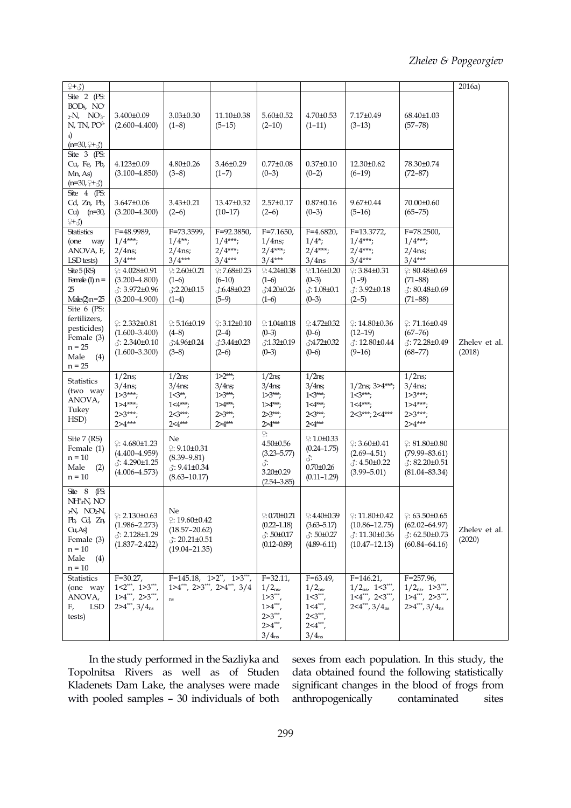| $(+3)$                                                                                                                                                     |                                                                                          |                                                                                              |                                                                                         |                                                                                                      |                                                                                                          |                                                                                                      |                                                                                             | 2016a)                  |
|------------------------------------------------------------------------------------------------------------------------------------------------------------|------------------------------------------------------------------------------------------|----------------------------------------------------------------------------------------------|-----------------------------------------------------------------------------------------|------------------------------------------------------------------------------------------------------|----------------------------------------------------------------------------------------------------------|------------------------------------------------------------------------------------------------------|---------------------------------------------------------------------------------------------|-------------------------|
| Site 2 (PS:<br>$BOD5$ , NO<br>$_2$ -N, NO <sub>3</sub> -<br>$N$ , TN, PO <sup>3-</sup><br>$_{4}$<br>$(n=30, 2+\xi)$                                        | 3.400±0.09<br>$(2.600 - 4.400)$                                                          | $3.03 \pm 0.30$<br>$(1-8)$                                                                   | 11.10±0.38<br>$(5-15)$                                                                  | $5.60 \pm 0.52$<br>$(2-10)$                                                                          | $4.70 \pm 0.53$<br>$(1-11)$                                                                              | 7.17±0.49<br>$(3-13)$                                                                                | 68.40±1.03<br>$(57 - 78)$                                                                   |                         |
| Site 3 (PS:<br>Cu, Fe, Pb,<br>Mn, As)<br>$(n=30, 2+\xi)$                                                                                                   | $4.123 \pm 0.09$<br>$(3.100 - 4.850)$                                                    | $4.80 \pm 0.26$<br>$(3-8)$                                                                   | $3.46 \pm 0.29$<br>$(1-7)$                                                              | $0.77 \pm 0.08$<br>$(0-3)$                                                                           | $0.37 \pm 0.10$<br>$(0-2)$                                                                               | 12.30±0.62<br>$(6-19)$                                                                               | 78.30±0.74<br>$(72 - 87)$                                                                   |                         |
| Site 4 (PS:<br>Cd, Zn, Pb,<br>Cu) $(n=30,$<br>$2 + 3$                                                                                                      | $3.647 \pm 0.06$<br>$(3.200 - 4.300)$                                                    | $3.43 \pm 0.21$<br>$(2-6)$                                                                   | 13.47±0.32<br>$(10-17)$                                                                 | $2.57 \pm 0.17$<br>$(2-6)$                                                                           | $0.87 \pm 0.16$<br>$(0-3)$                                                                               | $9.67 \pm 0.44$<br>$(5-16)$                                                                          | 70.00±0.60<br>$(65 - 75)$                                                                   |                         |
| <b>Statistics</b><br>(one<br>way<br>ANOVA, F,<br>LSD tests)                                                                                                | $F=48.9989$ ,<br>$1/4***;$<br>$2/4$ ns;<br>$3/4***$                                      | $F = 73.3599$<br>$1/4**;$<br>$2/4$ ns;<br>$3/4***$                                           | $F = 92.3850$ ,<br>$1/4***;$<br>$2/4***;$<br>$3/4***$                                   | $F = 7.1650$ ,<br>$1/4$ ns;<br>$2/4***;$<br>$3/4***$                                                 | $F=4.6820,$<br>$1/4$ ;<br>$2/4***;$<br>$3/4$ ns                                                          | $F=13.3772$ ,<br>$1/4***;$<br>$2/4***;$<br>$3/4***$                                                  | $F = 78.2500$ ,<br>$1/4***;$<br>$2/4$ ns;<br>$3/4***$                                       |                         |
| $\text{Site }5(\text{RS})$<br>Female (1) $n =$<br>25<br>$Male(2)n = 25$                                                                                    | $9:4.028\pm0.91$<br>$(3.200 - 4.800)$<br>₹: 3.972±0.96<br>$(3.200 - 4.900)$              | $\degree$ : 2.60±0.21<br>$(1-6)$<br>♂:2.20±0.15<br>$(1-4)$                                   | $\degree$ : 7.68±0.23<br>$(6-10)$<br>$\sqrt{3:6.48 \pm 0.23}$<br>$(5-9)$                | $2:4.24\pm0.38$<br>$(1-6)$<br>3:4.20±0.26<br>$(1-6)$                                                 | $2:1.16 \pm 0.20$<br>$(0-3)$<br>$3:1.08 \pm 0.1$<br>$(0-3)$                                              | $9:3.84\pm0.31$<br>$(1-9)$<br>$\lambda$ : 3.92±0.18<br>$(2-5)$                                       | $\degree: 80.48 \pm 0.69$<br>$(71-88)$<br>$\therefore$ 80.48±0.69<br>$(71 - 88)$            |                         |
| Site 6 (PS:<br>fertilizers,<br>pesticides)<br>Female (3)<br>$n = 25$<br>Male<br>(4)<br>$n = 25$                                                            | $2:2.332\pm0.81$<br>$(1.600 - 3.400)$<br>$\triangle$ : 2.340±0.10<br>$(1.600 - 3.300)$   | $2:5.16 \pm 0.19$<br>$(4-8)$<br>♂:4.96±0.24<br>$(3-8)$                                       | $2:3.12\pm0.10$<br>$(2-4)$<br>$\sqrt{3.3.44 \pm 0.23}$<br>$(2-6)$                       | $2:1.04\pm0.18$<br>$(0-3)$<br>$\triangle 1.32 \pm 0.19$<br>$(0-3)$                                   | $2:4.72 \pm 0.32$<br>$(0-6)$<br>$\triangle 4.72 \pm 0.32$<br>$(0-6)$                                     | $\degree$ : 14.80±0.36<br>$(12-19)$<br>$\therefore$ 12.80±0.44<br>$(9-16)$                           | $2:71.16\pm0.49$<br>$(67 - 76)$<br>₹: 72.28±0.49<br>$(68 - 77)$                             | Zhelev et al.<br>(2018) |
| <b>Statistics</b><br>(two way<br>ANOVA,<br>Tukey<br>HSD)                                                                                                   | $1/2$ ns;<br>$3/4$ ns;<br>$1 > 3***;$<br>$1>4***;$<br>$2>3***;$<br>$2>4***$              | $1/2$ ns;<br>$3/4$ ns;<br>$1 \leq 3**$<br>$1 \leq 4$ ***;<br>$2 < 3***;$<br>$2 \leq 4***$    | $1 > 2$ ***;<br>$3/4$ ns;<br>$1 > 3$ ***;<br>$1 > 4$ ***;<br>$2 > 3$ ***;<br>$2 > 4***$ | $1/2$ ns;<br>$3/4$ ns;<br>$1 > 3$ ***;<br>$1 > 4$ ***;<br>$2 > 3$ ***;<br>$2 > 4***$                 | $1/2$ ns;<br>$3/4$ ns;<br>$1 \leq 3$ ***;<br>$1 \leq 4$ ***;<br>$25^{***}$<br>$2 \leq 4$ ***             | $1/2$ ns; $3>4***;$<br>$1 < 3***;$<br>$1 \leq 4$ ***;<br>$2 < 3***$ ; 2<4***                         | $1/2$ ns;<br>$3/4$ ns;<br>$1 > 3***;$<br>$1>4***;$<br>$2>3***;$<br>$2>4***$                 |                         |
| Site 7 (RS)<br>Female (1)<br>$n = 10$<br>Male<br>(2)<br>$n = 10$                                                                                           | $2:4.680{\pm}1.23$<br>$(4.400 - 4.959)$<br>$\triangle$ : 4.290±1.25<br>$(4.006 - 4.573)$ | Ne<br>$9.10 \pm 0.31$<br>$(8.39 - 9.81)$<br>$(8.63 - 10.17)$                                 | $\therefore$ 9.41±0.34                                                                  |                                                                                                      | $\div 1.0 \pm 0.33$<br>$(0.24 - 1.75)$<br>♂:<br>$0.70 \pm 0.26$<br>$(0.11 - 1.29)$                       | $\degree: 3.60 \pm 0.41$<br>$(2.69 - 4.51)$<br>$\therefore$ 4.50±0.22<br>$(3.99 - 5.01)$             | $\odot$ : 81.80±0.80<br>$(79.99 - 83.61)$<br>$\triangle$ : 82.20±0.51<br>$(81.04 - 83.34)$  |                         |
| $\text{Site} \quad 8$<br>(PS:<br>NH <sup>+</sup> 4N, NO<br>$_3N$ , $NO_2N$ ,<br>Pb, Cd, Zn,<br>Cu, As<br>Female (3)<br>$n = 10$<br>Male<br>(4)<br>$n = 10$ | $2:2.130\pm0.63$<br>$(1.986 - 2.273)$<br>$\triangle$ : 2.128±1.29<br>$(1.837 - 2.422)$   | Ne<br>$2:19.60 \pm 0.42$<br>$(18.57 - 20.62)$<br>$\lambda$ : 20.21±0.51<br>$(19.04 - 21.35)$ |                                                                                         | $\odot 0.70 \pm 0.21$<br>$(0.22 - 1.18)$<br>$3:50 \pm 0.17$<br>$(0.12 - 0.89)$                       | $9:4.40\pm0.39$<br>$(3.63 - 5.17)$<br>$3:50\pm0.27$<br>$(4.89 - 6.11)$                                   | $\circ$ : 11.80±0.42<br>$(10.86 - 12.75)$<br>$\therefore$ 11.30 $\pm$ 0.36<br>$(10.47 - 12.13)$      | $\odot$ : 63.50±0.65<br>$(62.02 - 64.97)$<br>$\lambda$ : 62.50±0.73<br>$(60.84 - 64.16)$    | Zhelev et al.<br>(2020) |
| <b>Statistics</b><br>(one way<br>ANOVA,<br><b>LSD</b><br>F,<br>tests)                                                                                      | $F=30.27$ ,<br>$1<2$ ***, $1>3$ ***<br>$1>4***$ , $2>3***$ ,<br>$2>4$ ***, $3/4_{ns}$    | $F=145.18, 1>2^{**}, 1>3^{***},$<br>$\rm ns$                                                 | $1>4$ ***, $2>3$ ***, $2>4$ ***, $3/4$                                                  | $F = 32.11$<br>$1/2_{\rm ns}$<br>$1>3***$<br>$1>4***$<br>$2>3***$<br>$2>4***$ ,<br>$3/4_{\text{ns}}$ | $F=63.49$ ,<br>$1/2_{\rm ns}$<br>$1<3***$<br>$1 \le 4$ **,<br>$2 < 3***$<br>$24***$<br>$3/4_{\text{ns}}$ | $F=146.21$ ,<br>$1/2_{\rm ns}$ , $1<3$ ***<br>$1 \le 4$ ***, $2 \le 3$ ***,<br>$2<4$ ***, $3/4_{ns}$ | $F = 257.96$<br>$1/2_{\rm ns}$ , $1>3***$<br>$1>4***$ , $2>3***$ ,<br>$2>4***$ , $3/4_{ns}$ |                         |

In the study performed in the Sazliyka and Topolnitsa Rivers as well as of Studen Kladenets Dam Lake, the analyses were made with pooled samples - 30 individuals of both anthropogenically contaminated

sexes from each population. In this study, the data obtained found the following statistically significant changes in the blood of frogs from anthropogenically contaminated sites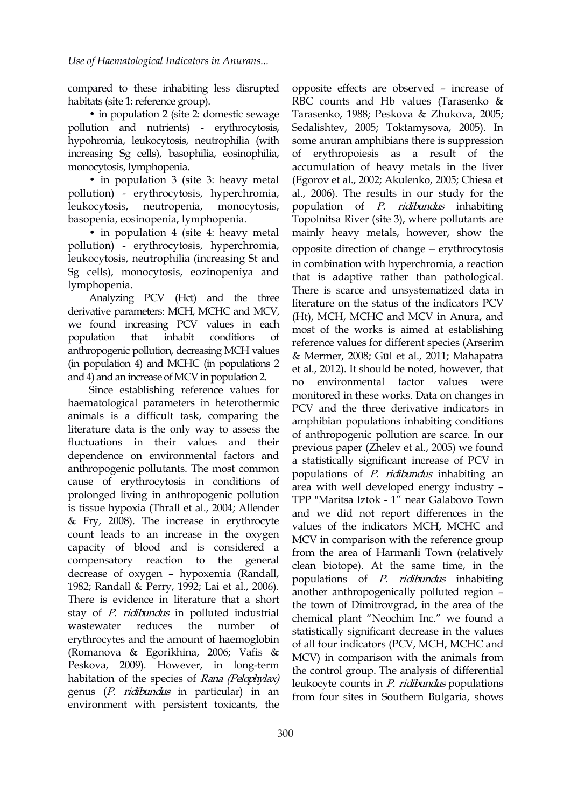compared to these inhabiting less disrupted habitats (site 1: reference group).

• in population 2 (site 2: domestic sewage pollution and nutrients) - erythrocytosis, hypohromia, leukocytosis, neutrophilia (with increasing Sg cells), basophilia, eosinophilia, monocytosis, lymphopenia.

• in population 3 (site 3: heavy metal pollution) - erythrocytosis, hyperchromia, leukocytosis, neutropenia, monocytosis, basopenia, eosinopenia, lymphopenia.

• in population 4 (site 4: heavy metal pollution) - erythrocytosis, hyperchromia, leukocytosis, neutrophilia (increasing St and Sg cells), monocytosis, eozinopeniya and lymphopenia.

Analyzing PCV (Hct) and the three derivative parameters: MCH, MCHC and MCV, we found increasing PCV values in each population that inhabit conditions of anthropogenic pollution, decreasing MCH values (in population 4) and MCHC (in populations 2 and 4) and an increase of MCV in population 2.  $\frac{1}{10}$ 

Since establishing reference values for haematological parameters in heterothermic animals is a difficult task, comparing the literature data is the only way to assess the fluctuations in their values and their dependence on environmental factors and anthropogenic pollutants. The most common cause of erythrocytosis in conditions of prolonged living in anthropogenic pollution is tissue hypoxia (Thrall et al., 2004; Allender & Fry, 2008). The increase in erythrocyte count leads to an increase in the oxygen capacity of blood and is considered a compensatory reaction to the general decrease of oxygen – hypoxemia (Randall, 1982; Randall & Perry, 1992; Lai et al.,2006). There is evidence in literature that a short stay of *P. ridibundus* in polluted industrial wastewater reduces the number of erythrocytes and the amount of haemoglobin (Romanova & Egorikhina, 2006; Vafis & Peskova, 2009). However, in long-term habitation of the species of Rana (Pelophylax) genus (P. ridibundus in particular) in an environment with persistent toxicants, the

opposite effects are observed – increase of RBC counts and Hb values (Tarasenko & Tarasenko, 1988; Peskova & Zhukova, 2005; Sedalishtev, 2005; Toktamysova, 2005). In some anuran amphibians there is suppression of erythropoiesis as a result of the accumulation of heavy metals in the liver (Egorov et al., 2002; Akulenko, 2005; Chiesa et al., 2006). The results in our study for the population of P. ridibundus inhabiting Topolnitsa River (site 3), where pollutants are mainly heavy metals, however, show the opposite direction of change ‒ erythrocytosis in combination with hyperchromia, a reaction that is adaptive rather than pathological. There is scarce and unsystematized data in literature on the status of the indicators PCV (Ht), MCH, MCHC and MCV in Anura, and most of the works is aimed at establishing reference values for different species (Arserim & Mermer, 2008; Gül et al., 2011; Мahapatra et al., 2012). It should be noted, however, that environmental factor values were monitored in these works. Data on changes in PCV and the three derivative indicators in amphibian populations inhabiting conditions of anthropogenic pollution are scarce. In our previous paper (Zhelev et al., 2005) we found a statistically significant increase of PCV in populations of *P. ridibundus* inhabiting an area with well developed energy industry – TPP "Maritsa Iztok -1" near Galabovo Town and we did not report differences in the values of the indicators MCH, MCHC and MCV in comparison with the reference group from the area of Harmanli Town (relatively clean biotope). At the same time, in the populations of P. ridibundus inhabiting another anthropogenically polluted region – the town of Dimitrovgrad, in the area of the chemical plant "Neochim Inc." we found a statistically significant decrease in the values of all four indicators (PCV, MCH, MCHC and MCV) in comparison with the animals from the control group. The analysis of differential leukocyte counts in P. ridibundus populations from four sites in Southern Bulgaria, shows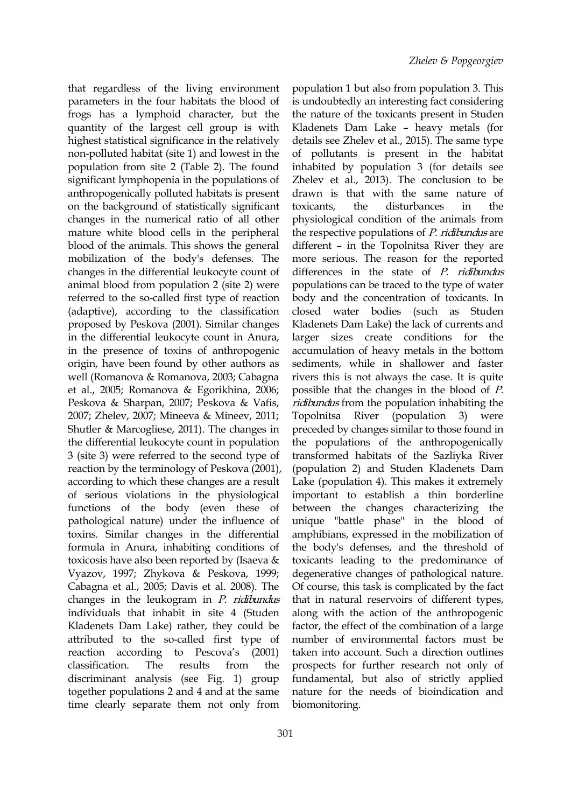that regardless of the living environment parameters in the four habitats the blood of frogs has a lymphoid character, but the quantity of the largest cell group is with highest statistical significance in the relatively non-polluted habitat (site 1) and lowest in the population from site 2 (Table 2). The found significant lymphopenia in the populations of anthropogenically polluted habitats is present on the background of statistically significant changes in the numerical ratio of all other mature white blood cells in the peripheral blood of the animals.This shows the general mobilization of the body's defenses. The changes in the differential leukocyte count of animal blood from population 2 (site 2) were referred to the so-called first type of reaction (adaptive), according to the classification proposed by Peskova (2001). Similar changes in the differential leukocyte count in Anura, in the presence of toxins of anthropogenic origin, have been found by other authors as well (Romanova & Romanova, 2003; Cabagna et al., 2005; Romanova & Egorikhina, 2006; Peskova & Sharpan, 2007; Peskova & Vafis, 2007; Zhelev, 2007; Mineeva & Mineev, 2011; Shutler & Marcogliese, 2011). The changes in the differential leukocyte count in population 3 (site 3) were referred to the second type of reaction by the terminology of Peskova (2001), according to which these changes are a result of serious violations in the physiological functions of the body (even these of pathological nature) under the influence of toxins. Similar changes in the differential formula in Anura, inhabiting conditions of toxicosis have also been reported by (Isaeva  $&$ Vyazov, 1997; Zhykova & Peskova, 1999; Cabagna et al., 2005; Davis et al.2008). The changes in the leukogram in  $P$ . *ridibundus* individuals that inhabit in site 4 (Studen Kladenets Dam Lake) rather, they could be attributed to the so-called first type of reaction according to Pеscova's (2001) discriminant analysis (see Fig. 1) group together populations 2 and 4 and at the same time clearly separate them not only from

classification. The results from the prospects for further research not only of population 1 but also from population 3. This is undoubtedly an interesting fact considering the nature of the toxicants present in Studen Kladenets Dam Lake – heavy metals (for details see Zhelev et al., 2015). The same type of pollutants is present in the habitat inhabited by population 3 (for details see Zhelev et al., 2013). The conclusion to be drawn is that with the same nature of the disturbances in the physiological condition of the animals from the respective populations of *P. ridibundus* are different – in the Topolnitsa River they are more serious. The reason for the reported differences in the state of *P. ridibundus* populations can be traced to the type of water body and the concentration of toxicants. In water bodies (such as Studen Kladenets Dam Lake) the lack of currents and larger sizes create conditions for the accumulation of heavy metals in the bottom sediments, while in shallower and faster rivers this is not always the case. It is quite possible that the changes in the blood of P. ridibundus from the population inhabiting the Topolnitsa River (population 3) were preceded by changes similar to those found in the populations of the anthropogenically transformed habitats of the Sazliyka River (population 2) and Studen Kladenets Dam Lake (population 4). This makes it extremely important to establish a thin borderline between the changes characterizing the unique "battle phase" in the blood of amphibians, expressed in the mobilization of the body's defenses, and the threshold of toxicants leading to the predominance of degenerative changes of pathological nature. Of course, this task is complicated by the fact that in natural reservoirs of different types, along with the action of the anthropogenic factor, the effect of the combination of a large number of environmental factors must be taken into account. Such a direction outlines fundamental, but also of strictly applied nature for the needs of bioindication and biomonitoring.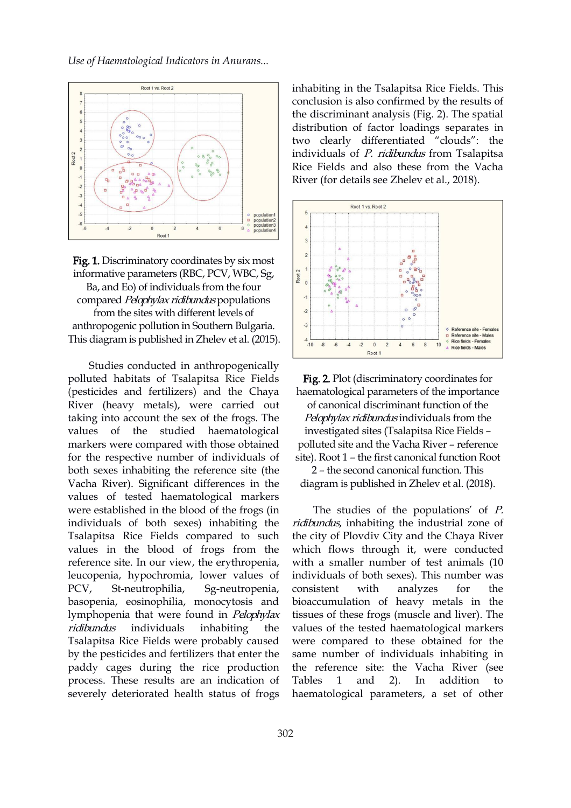

**Fig. 1.** Discriminatory coordinates by six most<br>informative parameters (RBC, PCV, WBC, Sg, informative parameters (RBC, PCV, WBC, Sg, Ba, and Eo) of individuals from the four compared Pelophylax ridibundus populations from the sites with different levels of  $\frac{1}{2}$ anthropogenic pollution in Southern Bulgaria. This diagram is published in Zhelev et al. (2015).  $\begin{bmatrix} 4 & 1 \end{bmatrix}$ 

Studies conducted in anthropogenically polluted habitats of Tsalapitsa Rice Fields (pesticides and fertilizers) and the Chaya River (heavy metals), were carried out taking into account the sex of the frogs. The values of the studied haematological markers were compared with those obtained for the respective number of individuals of both sexes inhabiting the reference site (the Vacha River). Significant differences in the values of tested haematological markers were established in the blood of the frogs (in individuals of both sexes) inhabiting the Tsalapitsa Rice Fields compared to such values in the blood of frogs from the reference site. In our view, the erythropenia, leucopenia, hypоchromia, lower values of PCV, St-neutrophilia, Sg-neutropenia, basopenia, eosinophilia, monocytosis and lymphopenia that were found in Pelophylax Tsalapitsa Rice Fields were probably caused by the pesticides and fertilizers that enter the paddy cages during the rice production process. These results are an indication of Tables 1 and severely deteriorated health status of frogs

inhabiting in the Tsalapitsa Rice Fields. This conclusion is also confirmed by the results of the discriminant analysis (Fig. 2). The spatial distribution of factor loadings separates in two clearly differentiated "clouds": the individuals of P. ridibundus from Tsalapitsa Rice Fields and also these from the Vacha River (for details see Zhelev et al., 2018).



Fig. 2. Plot (discriminatory coordinates for haematological parameters of the importance of canonical discriminant function of the Pelophylax ridibundus individuals from the investigated sites (Tsalapitsa Rice Fields – polluted site and the Vacha River – reference site). Root 1 – the first canonical function Root

2 – the second canonical function. This diagram is published in Zhelev et al. (2018).

ridibundus individuals inhabiting the values of the tested haematological markers The studies of the populations' of P. ridibundus, inhabiting the industrial zone of the city of Plovdiv City and the Chaya River which flows through it, were conducted with a smaller number of test animals (10 individuals of both sexes). This number was consistent with analyzes for the bioaccumulation of heavy metals in the tissues of these frogs (muscle and liver). The were compared to these obtained for the same number of individuals inhabiting in the reference site: the Vacha River (see 2). In addition haematological parameters, a set of other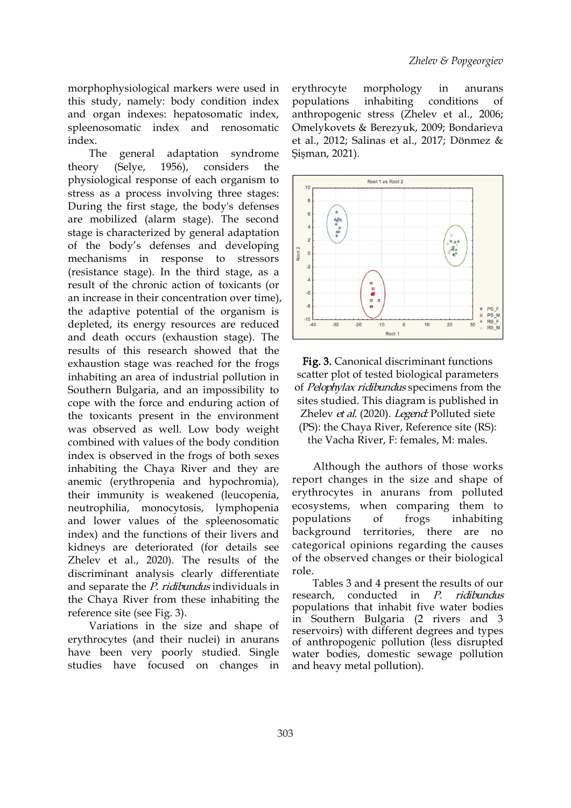morphophysiological markers were used in this study, namely: body condition index and organ indexes: hepatosomatic index, spleenоsomatic index and renosomatic index.

The general adaptation syndrome theory (Selye, 1956), considers the physiological response of each organism to  $\frac{1}{10}$ stress as a process involving three stages: During the first stage, the body's defenses are mobilized (alarm stage). The second  $\begin{bmatrix} \cdot & \cdot & \cdot \\ \cdot & \cdot & \cdot \\ \cdot & \cdot & \cdot \end{bmatrix}$ stage is characterized by general adaptation of the body's defenses and developing mechanisms in response to stressors  $\left| \begin{array}{cc} \frac{3}{4} \end{array} \right|$ (resistance stage). In the third stage, as a result of the chronic action of toxicants (or an increase in their concentration over time), the adaptive potential of the organism is  $\begin{array}{c} \begin{array}{c} \end{array} \end{array}$ depleted, its energy resources are reduced  $\frac{1}{40}$   $\frac{30}{40}$   $\frac{20}{40}$   $\frac{10}{8001}$ and death occurs (exhaustion stage). The results of this research showed that the exhaustion stage was reached for the frogs inhabiting an area of industrial pollution in Southern Bulgaria, and an impossibility to cope with the force and enduring action of the toxicants present in the environment was observed as well. Low body weight combined with values of the body condition index is observed in the frogs of both sexes inhabiting the Chaya River and they are anemic (erythropenia and hypоchromia), their immunity is weakened (leucopenia, neutrophilia, monocytosis, lymphopenia ecosystems, wher<br>and lower values of the spleenosomatic populations of and lower values of the spleenоsomatic indeх) and the functions of their livers and kidneys are deteriorated (for details see Zhelev et al., 2020). The results of the  $\sigma$ <sup>th</sup> the discriminant analysis clearly differentiate role. discriminant analysis clearly differentiate and separate the *P. ridibundus* individuals in lables 3 and 4 pres the Chaya River from these inhabiting the reference site (see Fig. 3).

Variations in the size and shape of erythrocytes (and their nuclei) in anurans have been very poorly studied. Single studies have focused on changes in

morphology in anurans populations inhabiting conditions of anthropogenic stress (Zhelev et al., 2006; Omelykovets & Berezyuk, 2009; Bondarieva et al., 2012; Salinas et al., 2017; Dönmez & Şişman, 2021).



Fig. 3. Canonical discriminant functions scatter plot of tested biological parameters of *Pelophylax ridibundus* specimens from the sites studied. This diagram is published in Zhelev et al. (2020). Legend: Polluted siete (PS): the Chaya River, Reference site (RS): the Vacha River, F: females, M: males.

Although the authors of those works report changes in the size and shape of erythrocytes in anurans from polluted ecosystems, when comparing them to populations of frogs inhabiting background territories, there are no categorical opinions regarding the causes of the observed changes or their biological

Tables 3 and 4 present the results of our in *P. ridibundus* populations that inhabit five water bodies in Southern Bulgaria (2 rivers and 3 reservoirs) with different degrees and types of anthropogenic pollution (less disrupted water bodies, domestic sewage pollution and heavy metal pollution).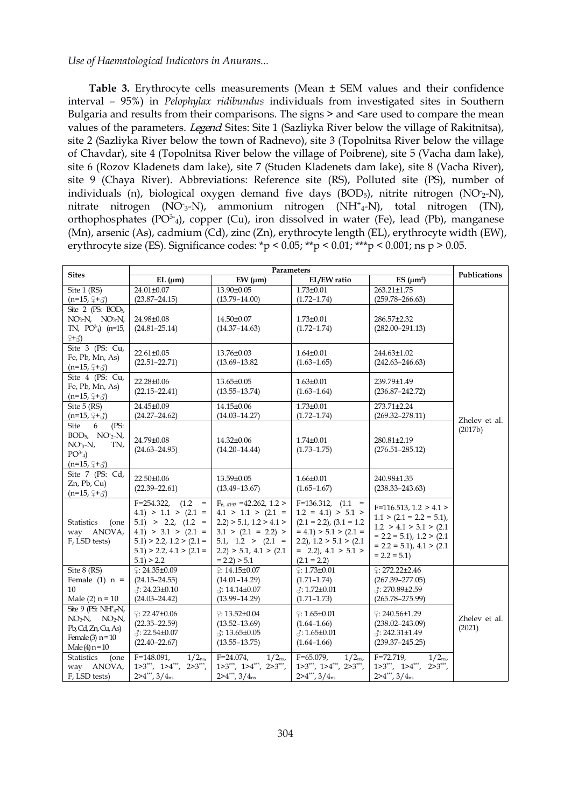**Table 3.** Erythrocyte cells measurements (Mean ± SEM values and their confidence interval – 95%) in *Pelophylax ridibundus* individuals from investigated sites in Southern Bulgaria and results from their comparisons. The signs > and <are used to compare the mean values of the parameters. *Legend* Sites: Site 1 (Sazliyka River below the village of Rakitnitsa), site 2 (Sazliyka River below the town of Radnevo), site 3 (Topolnitsa River below the village of Chavdar), site 4 (Topolnitsa River below the village of Poibrene), site 5 (Vacha dam lake), site 6 (Rozov Kladenets dam lake), site 7 (Studen Kladenets dam lake), site 8 (Vacha River), site 9 (Chaya River). Abbreviations: Reference site (RS), Polluted site (PS), number of individuals (n), biological oxygen demand five days (BOD<sub>5</sub>), nitrite nitrogen (NO<sub>2</sub>-N), nitrate nitrogen (NO-3-N), ammonium nitrogen (NH<sup>+</sup> <sup>4</sup>-N), total nitrogen (TN), orthophosphates  $(PO<sup>3-</sup>4)$ , copper  $(Cu)$ , iron dissolved in water (Fe), lead  $(Pb)$ , manganese (Mn), arsenic (As), cadmium (Cd), zinc (Zn), erythrocyte length (EL), erythrocyte width (EW), erythrocyte size (ES). Significance codes: \*p < 0.05; \*\*p < 0.01; \*\*\*p < 0.001; ns p > 0.05.

| <b>Sites</b>                                | Parameters                          |                                    |                                   |                                     |               |  |  |  |
|---------------------------------------------|-------------------------------------|------------------------------------|-----------------------------------|-------------------------------------|---------------|--|--|--|
|                                             | $EL$ ( $\mu$ m)                     | $EW$ ( $\mu$ m)                    | EL/EW ratio                       | ES $(\mu m^2)$                      | Publications  |  |  |  |
| Site 1 (RS)                                 | 24.01±0.07                          | 13.90±0.05                         | $1.73 \pm 0.01$                   | 263.21±1.75                         |               |  |  |  |
| $(n=15, 2+\xi)$                             | $(23.87 - 24.15)$                   | $(13.79 - 14.00)$                  | $(1.72 - 1.74)$                   | $(259.78 - 266.63)$                 |               |  |  |  |
| Site 2 (PS: $BOD5$ ,                        |                                     |                                    |                                   |                                     |               |  |  |  |
| $NO2N$ , $NO3N$ ,                           | 24.98±0.08                          | 14.50±0.07                         | $1.73 \pm 0.01$                   | 286.57±2.32                         |               |  |  |  |
| TN, $PO^2$ <sub>4</sub> ) (n=15,<br>$2 + 3$ | $(24.81 - 25.14)$                   | $(14.37 - 14.63)$                  | $(1.72 - 1.74)$                   | $(282.00 - 291.13)$                 |               |  |  |  |
| Site 3 (PS: Cu,                             |                                     |                                    |                                   |                                     |               |  |  |  |
| Fe, Pb, Mn, As)                             | 22.61±0.05                          | 13.76±0.03                         | $1.64 \pm 0.01$                   | 244.63±1.02                         |               |  |  |  |
| $(n=15, 2+\xi)$                             | $(22.51 - 22.71)$                   | $(13.69 - 13.82)$                  | $(1.63 - 1.65)$                   | $(242.63 - 246.63)$                 |               |  |  |  |
| Site 4 (PS: Cu,                             |                                     |                                    |                                   |                                     |               |  |  |  |
| Fe, Pb, Mn, As)                             | 22.28±0.06                          | 13.65±0.05                         | $1.63 \pm 0.01$                   | 239.79±1.49                         |               |  |  |  |
| $(n=15, 2+\xi)$                             | $(22.15 - 22.41)$                   | $(13.55 - 13.74)$                  | $(1.63 - 1.64)$                   | $(236.87 - 242.72)$                 |               |  |  |  |
| Site 5 (RS)                                 | 24.45±0.09                          | 14.15±0.06                         | $1.73 \pm 0.01$                   | 273.71±2.24                         | Zhelev et al. |  |  |  |
| $(n=15, 2+\xi)$                             | $(24.27 - 24.62)$                   | $(14.03 - 14.27)$                  | $(1.72 - 1.74)$                   | $(269.32 - 278.11)$                 |               |  |  |  |
| <b>Site</b><br>(PS:<br>6                    |                                     |                                    |                                   |                                     | (2017b)       |  |  |  |
| $BOD_5$ , $NO^-_2-N$ ,                      | 24.79±0.08                          | 14.32±0.06                         | $1.74 \pm 0.01$                   | 280.81±2.19                         |               |  |  |  |
| $NO3-N$ ,<br>TN,                            | $(24.63 - 24.95)$                   | $(14.20 - 14.44)$                  | $(1.73 - 1.75)$                   | $(276.51 - 285.12)$                 |               |  |  |  |
| $PO^{3-}_{4}$ )                             |                                     |                                    |                                   |                                     |               |  |  |  |
| $(n=15, 2+\xi)$                             |                                     |                                    |                                   |                                     |               |  |  |  |
| Site 7 (PS: Cd,                             | 22.50±0.06                          | 13.59±0.05                         | $1.66 \pm 0.01$                   | 240.98±1.35                         |               |  |  |  |
| $Zn$ , Pb, Cu $)$                           | $(22.39 - 22.61)$                   | $(13.49 - 13.67)$                  | $(1.65 - 1.67)$                   | $(238.33 - 243.63)$                 |               |  |  |  |
| $(n=15, 2+\xi)$                             | $F = 254.322$<br>$(1.2 =$           | $F_{6,4193}$ =42.262, 1.2 >        | $F=136.312, (1.1 =$               |                                     |               |  |  |  |
|                                             | $4.1$ ) > 1.1 > $(2.1$ =            | $4.1 > 1.1 > (2.1 =$               | $1.2 = 4.1$ > 5.1 >               | $F=116.513, 1.2 > 4.1 >$            |               |  |  |  |
| <b>Statistics</b><br>(one                   | $5.1$ ) > 2.2, $(1.2 =$             | $2.2$ ) > 5.1, 1.2 > 4.1 >         | $(2.1 = 2.2), (3.1 = 1.2)$        | $1.1 > (2.1 = 2.2 = 5.1)$ ,         |               |  |  |  |
| way ANOVA,                                  | $4.1$ ) > 3.1 > $(2.1$ =            | $3.1 > (2.1 = 2.2) >$              | $= 4.1$ ) > 5.1 > (2.1 =          | 1.2 > 4.1 > 3.1 > (2.1)             |               |  |  |  |
| F, LSD tests)                               | $5.1$ ) > 2.2, 1.2 > $(2.1 =$       | $5.1, 1.2 > (2.1 =$                | $(2.2)$ , $1.2 > 5.1 > (2.1)$     | $= 2.2 = 5.1$ , $1.2 > (2.1)$       |               |  |  |  |
|                                             | $5.1$ ) > 2.2, 4.1 > $(2.1 =$       | $2.2$ ) > 5.1, 4.1 > $(2.1)$       | $=$ 2.2), 4.1 > 5.1 >             | $= 2.2 = 5.1$ , $4.1 > (2.1)$       |               |  |  |  |
|                                             | $5.1$ ) > 2.2                       | $= 2.2$ ) > 5.1                    | $(2.1 = 2.2)$                     | $= 2.2 = 5.1$                       |               |  |  |  |
| Site 8 (RS)                                 | $9:24.35\pm0.09$                    | $\degree$ : 14.15±0.07             | $2:1.73\pm0.01$                   | $2: 272.22 \pm 2.46$                |               |  |  |  |
| Female $(1)$ n =                            | $(24.15 - 24.55)$                   | $(14.01 - 14.29)$                  | $(1.71 - 1.74)$                   | $(267.39 - 277.05)$                 |               |  |  |  |
| 10                                          | $\lambda$ : 24.23±0.10              | $\beta$ : 14.14±0.07               | $\lambda$ : 1.72±0.01             | ♂: 270.89±2.59                      |               |  |  |  |
| Male $(2)$ n = 10                           | $(24.03 - 24.42)$                   | $(13.99 - 14.29)$                  | $(1.71 - 1.73)$                   | $(265.78 - 275.99)$                 |               |  |  |  |
| Site 9 (PS: $NH^+_{4}N$ ,                   | $2:22.47\pm0.06$                    | £: 13.52±0.04                      | $\odot$ : 1.65±0.01               | $\degree$ : 240.56±1.29             |               |  |  |  |
| $NO3N$ , $NO2N$ ,                           | $(22.35 - 22.59)$                   | $(13.52 - 13.69)$                  | $(1.64 - 1.66)$                   | $(238.02 - 243.09)$                 | Zhelev et al. |  |  |  |
| Pb, Cd, Zn, Cu, As)                         | $\therefore$ 22.54±0.07             | $\therefore$ 13.65±0.05            | $\lambda$ : 1.65±0.01             | $\lambda$ : 242.31±1.49             | (2021)        |  |  |  |
| Female (3) $n=10$                           | $(22.40 - 22.67)$                   | $(13.55 - 13.75)$                  | $(1.64 - 1.66)$                   | $(239.37 - 245.25)$                 |               |  |  |  |
| Male (4) $n = 10$<br><b>Statistics</b>      | $F=148.091$ ,<br>$1/2_{\text{ns}}$  | $F = 24.074.$<br>$1/2_{\text{ns}}$ | $F=65.079$ .<br>$1/2_{\text{ns}}$ | $F = 72.719$ .<br>$1/2_{\rm ns}$    |               |  |  |  |
| (one<br>way ANOVA,                          | $1>3$ ***, $1>4$ ***,<br>$2>3$ ***, | $1>3***$ , $1>4***$ , $2>3***$ ,   | $1>3$ ***, $1>4$ ***, $2>3$ ***,  | $1>3$ ***, $1>4$ ***,<br>$2>3$ ***, |               |  |  |  |
| F, LSD tests)                               | $2>4$ ***, $3/4_{ns}$               | $2>4$ ***, $3/4_{ns}$              | $2>4$ ***, $3/4_{ns}$             | $2>4$ ***, $3/4_{ns}$               |               |  |  |  |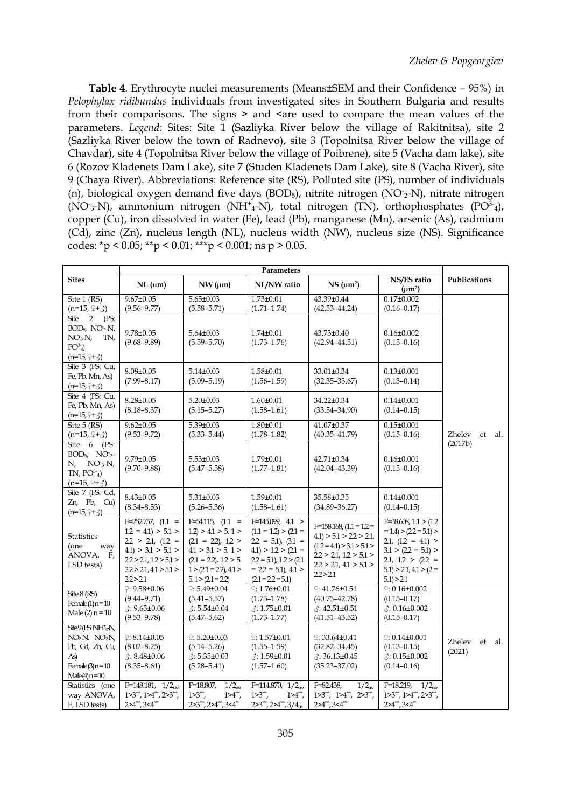Table 4. Erythrocyte nuclei measurements (Means±SEM and their Confidence – 95%) in *Pelophylax ridibundus* individuals from investigated sites in Southern Bulgaria and results from their comparisons. The signs  $>$  and  $\le$  are used to compare the mean values of the parameters. *Legend:* Sites: Site 1 (Sazliyka River below the village of Rakitnitsa), site 2 (Sazliyka River below the town of Radnevo), site 3 (Topolnitsa River below the village of Chavdar), site 4 (Topolnitsa River below the village of Poibrene), site 5 (Vacha dam lake), site 6 (Rozov Kladenets Dam Lake), site 7 (Studen Kladenets Dam Lake), site 8 (Vacha River), site 9 (Chaya River). Abbreviations: Reference site (RS), Polluted site (PS), number of individuals (n), biological oxygen demand five days  $(BOD_5)$ , nitrite nitrogen  $(NO_2-N)$ , nitrate nitrogen (NO<sub>3</sub>-N), ammonium nitrogen (NH<sup>+</sup>4-N), total nitrogen (TN), orthophosphates (PO<sup>3-</sup>4), copper (Cu), iron dissolved in water (Fe), lead (Pb), manganese (Mn), arsenic (As), cadmium (Cd), zinc (Zn), nucleus length (NL), nucleus width (NW), nucleus size (NS). Significance codes:  $\text{*p}$  < 0.05;  $\text{*p}$  < 0.01;  $\text{*p}$  < 0.001; ns p > 0.05.

| <b>Sites</b>                                                                                                                | $NL$ ( $\mu$ m)                                                                                                                                  | NW (µm)                                                                                                                                                                | NL/NW ratio                                                                                                                                                                 | NS (µm <sup>2</sup> )                                                                                                                                      | NS/ES ratio<br>$(\mu m^2)$                                                                                                                                             | Publications                      |  |
|-----------------------------------------------------------------------------------------------------------------------------|--------------------------------------------------------------------------------------------------------------------------------------------------|------------------------------------------------------------------------------------------------------------------------------------------------------------------------|-----------------------------------------------------------------------------------------------------------------------------------------------------------------------------|------------------------------------------------------------------------------------------------------------------------------------------------------------|------------------------------------------------------------------------------------------------------------------------------------------------------------------------|-----------------------------------|--|
| Site 1 (RS)<br>$(n=15, 9 + 3)$                                                                                              | $9.67 \pm 0.05$<br>$(9.56 - 9.77)$                                                                                                               | $5.65 \pm 0.03$<br>$(5.58 - 5.71)$                                                                                                                                     | $1.73 \pm 0.01$<br>$(1.71 - 1.74)$                                                                                                                                          | 43.39±0.44<br>$(42.53 - 44.24)$                                                                                                                            | $0.17 \pm 0.002$<br>$(0.16 - 0.17)$                                                                                                                                    |                                   |  |
| Site 2 (PS:<br>$BOD_{5}$ , $NO_{2}N$ ,<br>$NO3-N$ ,<br>TN,<br>$PO^3_4$ )<br>$(n=15, 2+\xi)$                                 | $9.78 \pm 0.05$<br>$(9.68 - 9.89)$                                                                                                               | $5.64 \pm 0.03$<br>$(5.59 - 5.70)$                                                                                                                                     | $1.74 \pm 0.01$<br>$(1.73 - 1.76)$                                                                                                                                          | $43.73 \pm 0.40$<br>$(42.94 - 44.51)$                                                                                                                      | $0.16 \pm 0.002$<br>$(0.15 - 0.16)$                                                                                                                                    |                                   |  |
| Site 3 (PS: Cu,<br>Fe, Pb, Mn, As)<br>$(n=15, 2+\xi)$                                                                       | $8.08 \pm 0.05$<br>$(7.99 - 8.17)$                                                                                                               | $5.14 \pm 0.03$<br>$(5.09 - 5.19)$                                                                                                                                     | 1.58±0.01<br>$(1.56 - 1.59)$                                                                                                                                                | 33.01±0.34<br>$(32.35 - 33.67)$                                                                                                                            | $0.13 \pm 0.001$<br>$(0.13 - 0.14)$                                                                                                                                    |                                   |  |
| Site 4 (PS: Cu,<br>Fe, Pb, Mn, As)<br>$(n=15, 2+\xi)$                                                                       | $8.28 \pm 0.05$<br>$(8.18 - 8.37)$                                                                                                               | $5.20 \pm 0.03$<br>$(5.15 - 5.27)$                                                                                                                                     | $1.60 \pm 0.01$<br>$(1.58 - 1.61)$                                                                                                                                          | 34.22±0.34<br>$(33.54 - 34.90)$                                                                                                                            | $0.14 \pm 0.001$<br>$(0.14 - 0.15)$                                                                                                                                    |                                   |  |
| Site $5$ (RS)<br>$(n=15, 2+\xi)$                                                                                            | $9.62 \pm 0.05$<br>$(9.53 - 9.72)$                                                                                                               | $5.39 \pm 0.03$<br>$(5.33 - 5.44)$                                                                                                                                     | $1.80 \pm 0.01$<br>$(1.78 - 1.82)$                                                                                                                                          | 41.07±0.37<br>$(40.35 - 41.79)$                                                                                                                            | $0.15 \pm 0.001$<br>$(0.15 - 0.16)$                                                                                                                                    | Zhelev<br>et<br>-al.              |  |
| Site 6 (PS:<br>$BOD5, NO2$ -<br>N,<br>$NO3-N$ ,<br>$TN$ , $PO^{3-}4)$<br>$(n=15, 2+\xi)$                                    | $9.79 \pm 0.05$<br>$(9.70 - 9.88)$                                                                                                               | $5.53 \pm 0.03$<br>$(5.47 - 5.58)$                                                                                                                                     | 1.79±0.01<br>$(1.77 - 1.81)$                                                                                                                                                | 42.71±0.34<br>$(42.04 - 43.39)$                                                                                                                            | $0.16 \pm 0.001$<br>$(0.15 - 0.16)$                                                                                                                                    | (2017b)                           |  |
| Site 7 (PS: Cd,<br>$Zn$ , Pb, Cu)<br>$(n=15, 2+\xi)$                                                                        | $8.43 \pm 0.05$<br>$(8.34 - 8.53)$                                                                                                               | $5.31 \pm 0.03$<br>$(5.26 - 5.36)$                                                                                                                                     | $1.59 \pm 0.01$<br>$(1.58 - 1.61)$                                                                                                                                          | 35.58±0.35<br>$(34.89 - 36.27)$                                                                                                                            | $0.14 \pm 0.001$<br>$(0.14 - 0.15)$                                                                                                                                    |                                   |  |
| <b>Statistics</b><br>(one<br>way<br>ANOVA,<br>F,<br>LSD tests)                                                              | $F=252.757, (1.1 =$<br>$12 = 4.1$ ) > 5.1 ><br>$22 > 21, (12 =$<br>$4.1$ ) > 3.1 > 5.1 ><br>22 > 21, 12 > 5.1 ><br>22 > 21,41 > 5.1 ><br>22 > 21 | $F=54.115$ , $(1.1 =$<br>$1.2$ ) > 4.1 > 5.1 ><br>$(2.1 = 2.2), 1.2 >$<br>4.1 > 3.1 > 5.1 ><br>$(2.1 = 2.2), 1.2 > 5.$<br>$1 > (21 = 22), 41 >$<br>$5.1 > (2.1 = 2.2)$ | $F=145.099, 41 >$<br>$(1.1 = 1.2) > (2.1 =$<br>$22 = 5.1$ , $(3.1 =$<br>$4.1$ ) > 1.2 > (2.1 =<br>$22 = 5.1$ , $1.2 > (2.1)$<br>$= 2.2 = 5.1$ , 4.1 ><br>$(21 = 2.2 = 5.1)$ | $F=158.168$ , $(1.1 = 1.2 =$<br>$4.1$ ) > 5.1 > 2.2 > 2.1,<br>$(1.2 = 4.1) > 3.1 > 5.1 >$<br>2.2 > 2.1, 1.2 > 5.1 ><br>2.2 > 2.1, 4.1 > 5.1 ><br>2.2 > 2.1 | $F = 38.608$ , $1.1 > (1.2)$<br>$= 1.4$ ) > (2.2 = 5.1) ><br>$21, (12 = 41) >$<br>$3.1 > (2.2 = 5.1) >$<br>$21, 12 > (22 =$<br>$(5.1) > 2.1, 4.1 > (2 =$<br>5.1) > 2.1 |                                   |  |
| $\text{Site } 8 \text{ (RS)}$<br>Female(1) $n=10$<br>Male $(2)$ n = 10                                                      | $9.58 \pm 0.06$<br>$(9.44 - 9.71)$<br>$\triangle$ : 9.65±0.06<br>$(9.53 - 9.78)$                                                                 | $\degree: 5.49 \pm 0.04$<br>$(5.41 - 5.57)$<br>$3:5.54\pm0.04$<br>$(5.47 - 5.62)$                                                                                      | $\odot$ : 1.76±0.01<br>$(1.73 - 1.78)$<br>$\therefore$ 1.75±0.01<br>$(1.73 - 1.77)$                                                                                         | $\degree: 41.76 \pm 0.51$<br>$(40.75 - 42.78)$<br>$\hat{\triangle}$ : 42.51±0.51<br>$(41.51 - 43.52)$                                                      | $\degree: 0.16 \pm 0.002$<br>$(0.15 - 0.17)$<br>$\therefore$ 0.16±0.002<br>$(0.15 - 0.17)$                                                                             |                                   |  |
| $\text{Site9(FS} \text{NH}^*_4\text{N}$<br>$NO3N$ , $NO2N$ ,<br>Pb, Cd, Zn, Cu,<br>As)<br>Female(3) $n=10$<br>$Male(4)n=10$ | $\circ$ : 8.14±0.05<br>$(8.02 - 8.25)$<br>$\triangle$ : 8.48±0.06<br>$(8.35 - 8.61)$                                                             | $\circ$ : 5.20±0.03<br>$(5.14 - 5.26)$<br>$3:5.35\pm0.03$<br>$(5.28 - 5.41)$                                                                                           | $\degree: 1.57 \pm 0.01$<br>$(1.55 - 1.59)$<br>$\lambda$ : 1.59±0.01<br>$(1.57 - 1.60)$                                                                                     | $9:33.64\pm0.41$<br>$(32.82 - 34.45)$<br>$\triangle$ : 36.13±0.45<br>$(35.23 - 37.02)$                                                                     | $\degree: 0.14 \pm 0.001$<br>$(0.13 - 0.15)$<br>$\triangle$ : 0.15±0.002<br>$(0.14 - 0.16)$                                                                            | <b>Zhelev</b><br>et al.<br>(2021) |  |
| Statistics (one<br>way ANOVA,<br>F, LSD tests)                                                                              | $F=148.181, 1/2ns$<br>1>3**, 1>4**, 2>3**,<br>2>4**,3<4**                                                                                        | $F=18.807$ ,<br>$1/2_{\rm ns}$<br>$1>3^{**}$ ,<br>$1>4^{**}$ ,<br>$2>3$ **, $2>4$ **, $3<4$ **                                                                         | $F=114.870, 1/2ns$<br>$1>3^{**}$ ,<br>$1>4$ <sup>**</sup> ,<br>$2>3$ <sup>***</sup> , $2>4$ <sup>***</sup> , $3/4_{rs}$                                                     | $F = 82.438$<br>$1/2_{\rm ns}$<br>$1>3$ <sup>***</sup> , $1>4$ <sup>***</sup> , $2>3$ <sup>***</sup> ,<br>2>4**,3<4**                                      | $\overline{1/2}_{rs}$<br>$F=18.219$ ,<br>$1>3$ <sup>***</sup> , $1>4$ <sup>***</sup> , $2>3$ <sup>***</sup> ,<br>2>4**,3<4*                                            |                                   |  |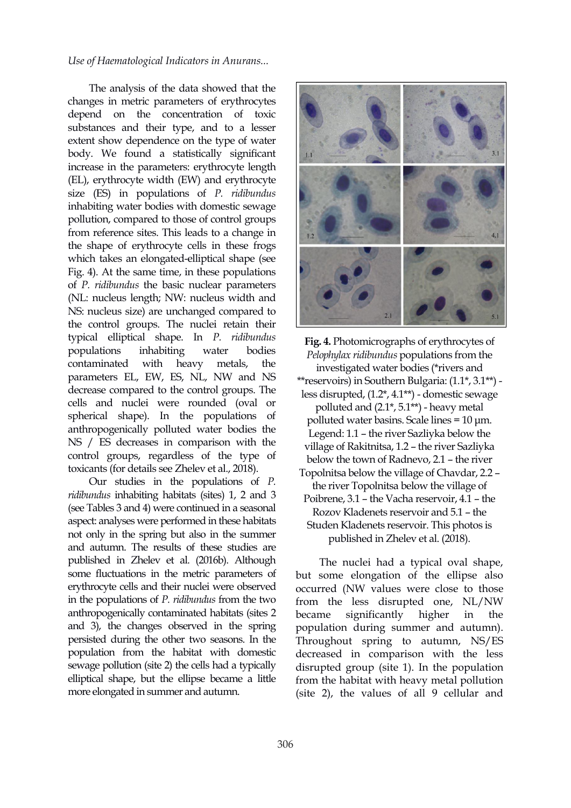The analysis of the data showed that the changes in metric parameters of erythrocytes depend on the concentration of toxic substances and their type, and to a lesser extent show dependence on the type of water body. We found a statistically significant increase in the parameters: erythrocyte length (EL), erythrocyte width (EW) and erythrocyte size (ES) in populations of *P. ridibundus* inhabiting water bodies with domestic sewage pollution, compared to those of control groups from reference sites. This leads to a change in the shape of erythrocyte cells in these frogs which takes an elongated-elliptical shape (see Fig. 4). At the same time, in these populations of *P. ridibundus* the basic nuclear parameters (NL: nucleus length; NW: nucleus width and NS: nucleus size) are unchanged compared to the control groups. The nuclei retain their typical elliptical shape. In *P. ridibundus* populations inhabiting water bodies contaminated with heavy metals, the parameters EL, EW, ES, NL, NW and NS decrease compared to the control groups. The cells and nuclei were rounded (oval or spherical shape). In the populations of anthropogenically polluted water bodies the NS / ES decreases in comparison with the control groups, regardless of the type of toxicants (for details see Zhelev et al., 2018).

Our studies in the populations of *P. ridibundus* inhabiting habitats (sites) 1, 2 and 3 (see Tables 3 and 4) were continued in a seasonal aspect: analyses were performed in these habitats not only in the spring but also in the summer and autumn. The results of these studies are published in Zhelev et al. (2016b). Although some fluctuations in the metric parameters of erythrocyte cells and their nuclei were observed in the populations of *P. ridibundus* from the two anthropogenically contaminated habitats (sites 2 and 3), the changes observed in the spring persisted during the other two seasons. In the population from the habitat with domestic sewage pollution (site 2) the cells had a typically elliptical shape, but the ellipse became a little more elongated in summer and autumn.



**Fig. 4.** Photomicrographs of erythrocytes of *Pelophylax ridibundus* populations from the investigated water bodies (\*rivers and \*\*reservoirs) in Southern Bulgaria: (1.1\*, 3.1\*\*) less disrupted, (1.2\*, 4.1\*\*) - domestic sewage polluted and  $(2.1^*, 5.1^{**})$  - heavy metal polluted water basins. Scale lines = 10 μm. Legend: 1.1 – the river Sazliyka below the village of Rakitnitsa, 1.2 – the river Sazliyka below the town of Radnevo, 2.1 – the river Topolnitsa below the village of Chavdar, 2.2 – the river Topolnitsa below the village of Poibrene, 3.1 – the Vacha reservoir, 4.1 – the Rozov Kladenets reservoir and 5.1 - the Studen Kladenets reservoir. This photos is published in Zhelev et al. (2018).

The nuclei had a typical oval shape, but some elongation of the ellipse also occurred (NW values were close to those from the less disrupted one, NL/NW significantly higher in the population during summer and autumn). Throughout spring to autumn, NS/ES decreased in comparison with the less disrupted group (site 1). In the population from the habitat with heavy metal pollution (site 2), the values of all 9 cellular and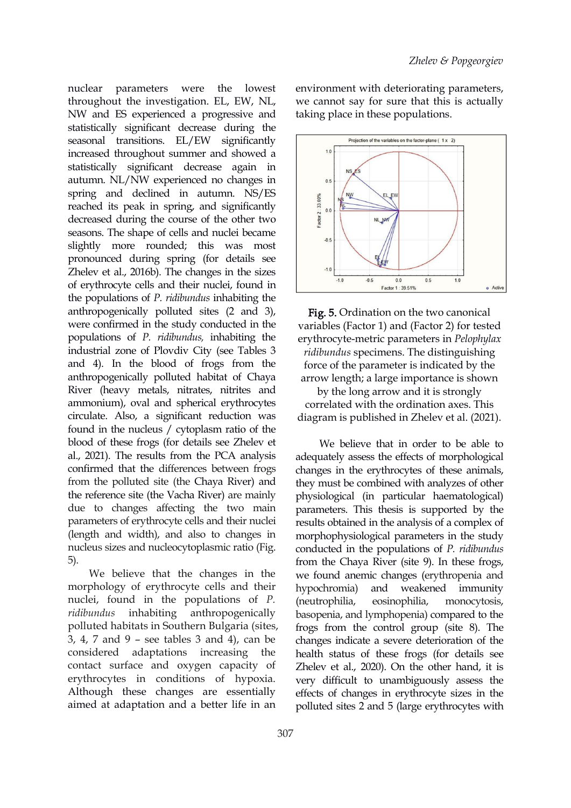nuclear parameters were the lowest throughout the investigation. EL, ЕW, NL, NW and ES experienced a progressive and statistically significant decrease during the seasonal transitions. EL/EW significantly **Projection of the variables on the factor-plane** ( 1 x 2) increased throughout summer and showed a statistically significant decrease again in autumn. NL/NW experienced no changes in spring and declined in autumn. NS/ES<br>reached its peak in spring, and significantly<br>decreased during the course of the other two reached its peak in spring, and significantly decreased during the course of the other two  $\frac{1}{2}$ seasons. The shape of cells and nuclei became slightly more rounded; this was most pronounced during spring (for details see Zhelev et al., 2016b). The changes in the sizes of erythrocyte cells and their nuclei, found in the populations of *P. ridibundus* inhabiting the anthropogenically polluted sites (2 and 3), were confirmed in the study conducted in the populations of *P. ridibundus,* inhabiting the industrial zone of Plovdiv City (see Tables 3 and 4). In the blood of frogs from the anthropogenically polluted habitat of Chaya River (heavy metals, nitrates, nitrites and ammonium), oval and spherical erythrocytes circulate. Also, a significant reduction was found in the nucleus / cytoplasm ratio of the blood of these frogs (for details see Zhelev et al., 2021). The results from the PCA analysis confirmed that the differences between frogs from the polluted site (the Chaya River) and the reference site (the Vacha River) are mainly due to changes affecting the two main parameters of erythrocyte cells and their nuclei (length and width), and also to changes in nucleus sizes and nucleocytoplasmic ratio (Fig. 5).

We believe that the changes in the morphology of erythrocyte cells and their hypochromia) and nuclei, found in the populations of*P. ridibundus* inhabiting anthropogenically basopenia, and lymphopenia) compared to the polluted habitats in Southern Bulgaria (sites, 3, 4, 7 and 9 – see tables 3 and 4), can be considered adaptations increasing the contact surface and oxygen capacity of erythrocytes in conditions of hypoxia. Although these changes are essentially aimed at adaptation and a better life in an

environment with deteriorating parameters, we cannot say for sure that this is actually taking place in these populations.



Fig. 5. Ordination on the two canonical variables (Factor 1) and (Factor 2) for tested erythrocyte-metric parameters in *Pelophylax ridibundus* specimens. The distinguishing force of the parameter is indicated by the arrow length; a large importance is shown

by the long arrow and it is strongly correlated with the ordination axes. This diagram is published in Zhelev et al. (2021).

We believe that in order to be able to adequately assess the effects of morphological changes in the erythrocytes of these animals, they must be combined with analyzes of other physiological (in particular haematological) parameters. This thesis is supported by the results obtained in the analysis of a complex of morphophysiological parameters in the study conducted in the populations of *P. ridibundus* from the Chaya River (site 9). In these frogs, we found anemic changes (erythropenia and weakened immunity (neutrophilia, eosinophilia, monocytosis, frogs from the control group (site 8). The changes indicate a severe deterioration of the health status of these frogs (for details see Zhelev et al., 2020). On the other hand, it is very difficult to unambiguously assess the effects of changes in erythrocyte sizes in the polluted sites 2 and 5 (large erythrocytes with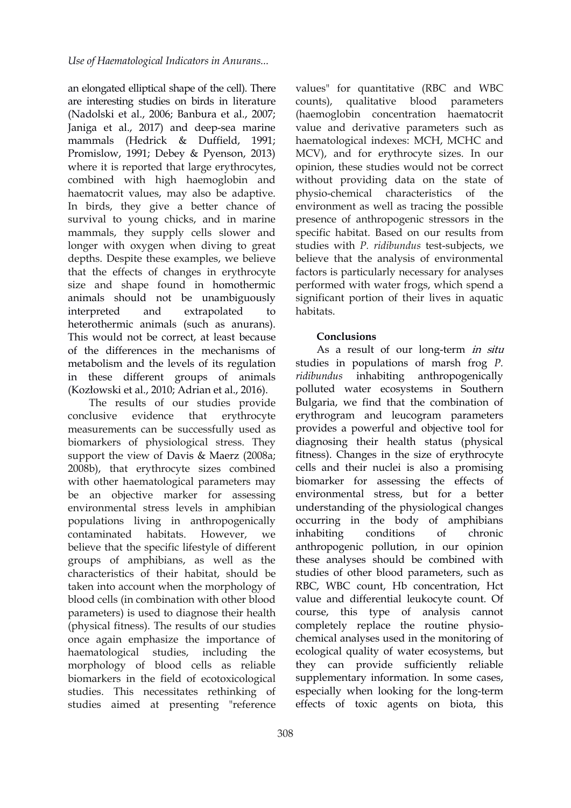an elongated elliptical shape of the cell). There are interesting studies on birds in literature (Nadolski et al., 2006; Banbura et al., 2007; Janiga et al., 2017) and deep-sea marine mammals (Hedrick & Duffield, 1991; Promislow, 1991; Debey & Pyenson, 2013) where it is reported that large erythrocytes, combined with high haemoglobin and haematocrit values, may also be adaptive. In birds, they give a better chance of survival to young chicks, and in marine mammals, they supply cells slower and longer with oxygen when diving to great depths. Despite these examples, we believe that the effects of changes in erythrocyte size and shape found in homothermic animals should not be unambiguously interpreted and extrapolated to heterothermic animals (such as anurans).<br>This would not be correct, at least because of the differences in the mechanisms of metabolism and the levels of its regulation in these different groups of animals (Kozłowski et al., 2010; Adrian et al., 2016).

The results of our studies provide measurements can be successfully used as biomarkers of physiological stress. They support the view of Davis & Maerz (2008a; 2008b), that erythrocyte sizes combined with other haematological parameters may be an objective marker for assessing environmental stress levels in amphibian populations living in anthropogenically contaminated habitats. However, we believe that the specific lifestyle of different groups of amphibians, as well as the characteristics of their habitat, should be taken into account when the morphology of blood cells (in combination with other blood parameters) is used to diagnose their health (physical fitness). The results of our studies once again emphasize the importance of haematological studies, including the morphology of blood cells as reliable biomarkers in the field of ecotoxicological studies. This necessitates rethinking of studies aimed at presenting "reference

values" for quantitative (RBC and WBC qualitative blood parameters (haemoglobin concentration haematocrit value and derivative parameters such as haematological indexes: MCH, MCHC and MCV), and for erythrocyte sizes. In our opinion, these studies would not be correct without providing data on the state of physio-chemical characteristics of the environment as well as tracing the possible presence of anthropogenic stressors in the specific habitat. Based on our results from studies with *P. ridibundus* test-subjects, we believe that the analysis of environmental factors is particularly necessary for analyses performed with water frogs, which spend a significant portion of their lives in aquatic habitats.

### **Conclusions**

conclusive evidence that erythrocyte erythrogram and leucogram parameters As a result of our long-term in situ studies in populations of marsh frog *P. ridibundus* inhabiting anthropogenically polluted water ecosystems in Southern Bulgaria, we find that the combination of provides a powerful and objective tool for diagnosing their health status (physical fitness). Changes in the size of erythrocyte cells and their nuclei is also a promising biomarker for assessing the effects of environmental stress, but for a better understanding of the physiological changes occurring in the body of amphibians conditions of chronic anthropogenic pollution, in our opinion these analyses should be combined with studies of other blood parameters, such as RBC, WBC count, Hb concentration, Hct value and differential leukocyte count. Of course, this type of analysis cannot completely replace the routine physio chemical analyses used in the monitoring of ecological quality of water ecosystems, but they can provide sufficiently reliable supplementary information. In some cases, especially when looking for the long-term effects of toxic agents on biota, this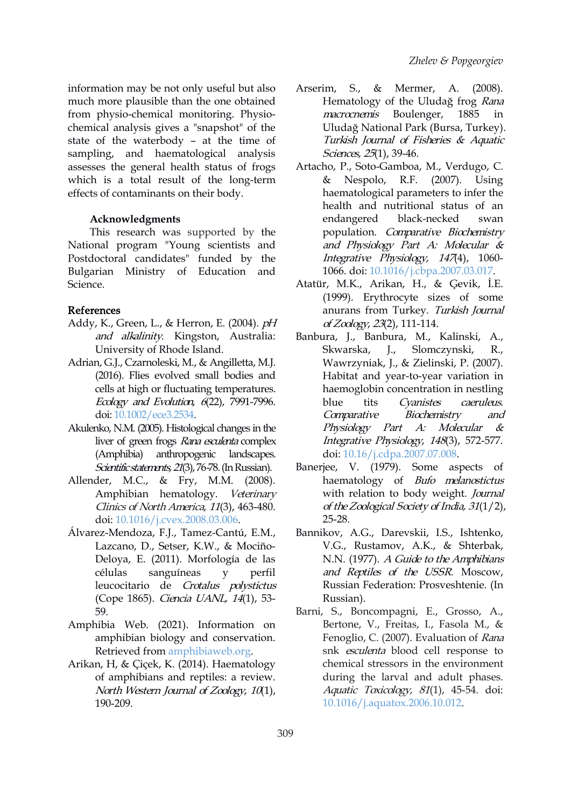information may be not only useful but also Arserim, much more plausible than the one obtained from physio-chemical monitoring. Physio chemical analysis gives a "snapshot" of the state of the waterbody - at the time of sampling, and haematological analysis assesses the general health status of frogs which is a total result of the long-term  $\&$  Nespolo, effects of contaminants on their body.

# **Acknowledgments**

This research was supported by the National program "Young scientists and Postdoctoral candidates" funded by the Bulgarian Ministry of Education and Science.

# References

- Addy, K., Green, L., & Herron, E. (2004). pH and alkalinity. Kingston, Australia: University of Rhode Island.
- Adrian, G.J., Czarnoleski, M., & Angilletta, M.J. (2016). Flies evolved small bodies and cells at high or fluctuating temperatures. Ecology and Evolution, <sup>6</sup>(22), 7991-7996. doi: [10.1002/ece3.2534](https://doi.org/10.1002/ece3.2534).
- Akulenko, N.M. (2005). Histological changes in the liver of green frogs Rana esculenta complex (Amphibia) anthropogenic landscapes. Scientific statements, 21(3), 76-78. (In Russian).
- Allender, M.C., & Fry, M.M. (2008). Amphibian hematology. Veterinary Clinics of North America, 11(3), 463-480. doi: [10.1016/j.cvex.2008.03.006](https://doi.org/10.1016/j.cvex.2008.03.006).
- Álvarez-Mendoza, F.J., Tamez-Cantú, E.M., Lazcano, D., Setser, K.W., & Mociño- Deloya, E. (2011). Morfología de las células sanguíneas y perfil leucocitario de Crotalus polystictus (Cope 1865). Ciencia UANL, 14(1), 53- 59.
- Amphibia Web. (2021). Information on amphibian biology and conservation. Retrieved from [amphibiaweb.org.](http://amphibiaweb.org/lists/index.shtml)
- Arikan, H, & Çiçek, K. (2014). Haematology of amphibians and reptiles: a review. North Western Journal of Zoology, <sup>10</sup>(1), 190-209.
- S., & Mermer, A. (2008). Hematology of the Uludağ frog Rana macrocnemis Boulenger, 1885 in Uludağ National Park (Bursa, Turkey). Turkish Journal of Fisheries & Aquatic Sciences, 25(1), 39-46.
- Artacho, P., Soto-Gamboa, M., Verdugo, C. R.F. (2007). Using haematological parameters to infer the health and nutritional status of an endangered black-necked swan population. Comparative Biochemistry and Physiology Part A: Molecular & Integrative Physiology, <sup>147</sup>(4), 1060- 1066. doi: [10.1016/j.cbpa.2007.03.017](https://doi.org/10.1016/j.cbpa.2007.03.017).
- Atatür, M.K., Arikan, H., & Ģevik, İ.E. (1999). Erythrocyte sizes of some anurans from Turkey. Turkish Journal of Zoology, <sup>23</sup>(2), 111-114.
- Banbura, J., Banbura, M., Kalinski, A., Skwarska, J., Slomczynski, R., Wawrzyniak, J., & Zielinski, P. (2007). Habitat and year-to-year variation in haemoglobin concentration in nestling tits Cyanistes caeruleus. Comparative Biochemistry and Physiology Part A: Molecular & Integrative Physiology, <sup>148</sup>(3), 572-577. doi: [10.16/j.cdpa.2007.07.008](https://doi.org/10.16/j.cdpa.2007.07.008).
- Banerjee, V. (1979). Some aspects of haematology of Bufo melanostictus with relation to body weight. Journal of theZoological Society of India, <sup>31</sup>(1/2), 25-28.
- Bannikov, A.G., Darevskii, I.S., Ishtenko, V.G., Rustamov, A.K., & Shterbak, N.N. (1977). <sup>A</sup> Guide to the Amphibians and Reptiles of the USSR. Moscow, Russian Federation: Prosveshtenie. (In Russian).
- Barni, S., Boncompagni, E., Grosso, A., Bertone, V., Freitas, I., Fasola M., & Fenoglio, C. (2007). Evaluation of Rana snk esculenta blood cell response to chemical stressors in the environment during the larval and adult phases. Aquatic Toxicology, <sup>81</sup>(1), 45-54. doi: [10.1016/j.aquatox.2006.10.012](https://doi.org/10.1016/j.aquatox.2006.10.012).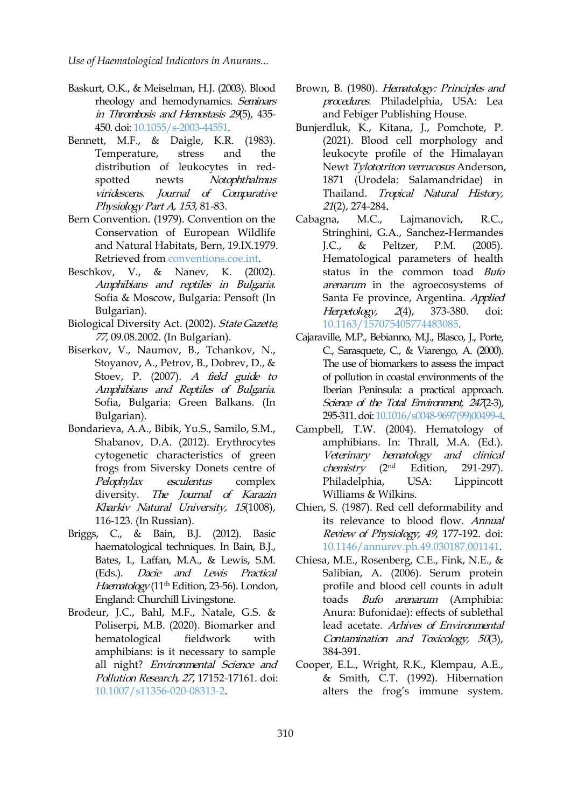- Baskurt, O.K., & Meiselman, H.J. (2003). Blood rheology and hemodynamics. Seminars in Thrombosis and Hemostasis 29(5), 435- 450. doi: [10.1055/s-2003-44551.](https://doi.org/10.1055/s-2003-44551)
- Bennett, M.F., & Daigle, K.R. (1983). Temperature, stress and the distribution of leukocytes in red spotted newts Notophthalmus viridescens. Journal of Comparative Physiology Part A, <sup>153</sup>, 81-83.
- Bern Convention. (1979). Convention on the Cabagna, M.C., Conservation of European Wildlife and Natural Habitats, Bern, 19.IX.1979. Retrieved from [conventions.coe.int.](http://conventions.coe.int)
- Beschkov, V., & Nanev, K. (2002). Amphibians and reptiles in Bulgaria. Sofia & Moscow, Bulgaria: Pensoft (In Bulgarian).
- Biological Diversity Act. (2002). State Gazette, 77, 09.08.2002. (In Bulgarian).
- Biserkov, V., Naumov, B., Tchankov, N., Stoyanov, A., Petrov, B., Dobrev, D., & Stoev, P. (2007). A field guide to Amphibians and Reptiles of Bulgaria. Sofia, Bulgaria: Green Balkans. (In Bulgarian).
- Bondarieva, A.A., Bibik, Yu.S., Samilo, S.M., Shabanov, D.A. (2012). Erythrocytes cytogenetic characteristics of green frogs from Siversky Donets centre of diversity. The Journal of Karazin Kharkiv Natural University, <sup>15</sup>(1008), 116-123. (In Russian).
- Briggs, C., & Bain, B.J. (2012). Basic haematological techniques. In Bain, B.J., Bates, I., Laffan, M.A., & Lewis, S.M. (Eds.). Dacie and Lewis Practical *Haematology* (11<sup>th</sup> Edition, 23-56). London, p England: Churchill Livingstone.
- Brodeur, J.C., Bahl, M.F., Natale, G.S. & Poliserpi, M.B. (2020). Biomarker and hematological fieldwork with amphibians: is it necessary to sample all night? Environmental Science and Pollution Research, 27, 17152-17161. doi: [10.1007/s11356-020-08313-2](https://doi.org/10.1007/s11356-020-08313-2).
- Brown, B. (1980). Hematology: Principles and procedures. Philadelphia, USA: Lea and Febiger Publishing House.
- Bunjerdluk, K., Kitana, J., Pomchote, P. (2021). Blood cell morphology and leukocyte profile of the Himalayan Newt Tylototriton verrucosus Anderson, 1871 (Urodela: Salamandridae) in Tropical Natural History, 21(2), 274-284.
- Lajmanovich, R.C., Stringhini, G.A., Sanchez-Hermandes & Peltzer, P.M. (2005). Hematological parameters of health status in the common toad Bufo arenarum in the agroecosystems of Santa Fe province, Argentina. Applied Herpetology, <sup>2</sup>(4), 373-380. doi: [10.1163/157075405774483085](https://doi.org/10.1163/157075405774483085).
- Cajaraville, M.P., Bebianno, M.J., Blasco, J., Porte, C., Sarasquete, C., & Viarengo, A. (2000). The use of biomarkers to assess the impact of pollution in coastal environments of the Iberian Peninsula: a practical approach. Science of the Total Environment,  $247(2-3)$ , 295-311.doi: [10.1016/s0048-9697\(99\)00499-4](https://doi.org/10.1016/s0048-9697(99)00499-4).
- *Pelophylax esculentus* complex Philadelphia, USA: Lippincott Campbell, T.W. (2004). Hematology of amphibians. In: Thrall, M.A. (Ed.). Veterinary hematology and clinical *chemistry*  $(2<sup>nd</sup> Edition,$ 291-297). Williams & Wilkins.
	- Chien, S. (1987). Red cell deformability and its relevance to blood flow. Annual Review of Physiology, <sup>49</sup>, 177-192. doi: [10.1146/annurev.ph.49.030187.001141.](https://doi.org/10.1146/annurev.ph.49.030187.001141)
	- Chiesa, M.E., Rosenberg, C.E., Fink, N.E., & Salibian, A. (2006). Serum protein profile and blood cell counts in adult toads Bufo arenarum (Amphibia: Anura: Bufonidae): effects of sublethal lead acetate. Arhives of Environmental Contamination and Toxicology, <sup>50</sup>(3), 384-391.
	- Cooper, E.L., Wright, R.K., Klempau, A.E., & Smith, C.T. (1992). Hibernation alters the frog's immune system.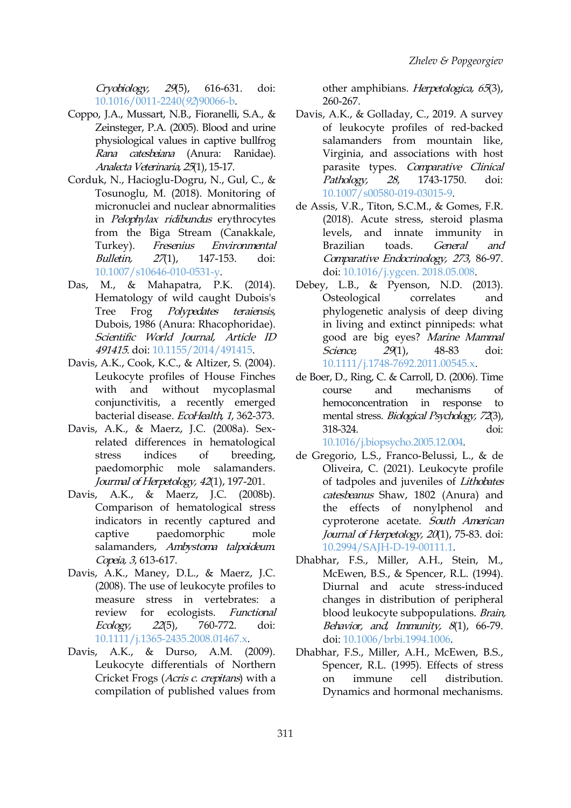Cryobiology, <sup>29</sup>(5), 616-631. doi: [10.1016/0011-2240\(](https://doi.org/10.1016/0011-2240(92)90066-b)92)90066-b.

- Coppo, J.A., Mussart, N.B., Fioranelli, S.A., & Zeinsteger, P.A. (2005). Blood and urine physiological values in captive bullfrog Rana catesbeiana (Anura: Ranidae). Analecta Veterinaria, 25(1), 15-17.
- Corduk, N., Hacioglu-Dogru, N., Gul, C., & Tosunoglu, M. (2018). Monitoring of micronuclei and nuclear abnormalities in Pelophylax ridibundus erythrocytes from the Biga Stream (Canakkale, Turkey). Fresenius Environmental Bulletin, 27(1), 147-153. doi: [10.1007/s10646-010-0531-y](https://doi.org/10.1007/s10646-010-0531-y).
- Das, M., & Mahapatra, P.K. (2014). Hematology of wild caught Dubois's Tree Frog *Polypedates teraiensis*, Dubois, 1986 (Anura: Rhacophoridae). Scientific World Journal, Article ID 491415. doi: [10.1155/2014/491415](https://doi.org/10.1155/2014/491415).
- Davis, A.K., Cook, K.C., & Altizer, S. (2004). Leukocyte profiles of House Finches with and without mycoplasmal course conjunctivitis, a recently emerged bacterial disease. EcoHealth, 1, 362-373.
- Davis, A.K., & Maerz, J.C. (2008a). Sex related differences in hematological stress indices of breeding, paedomorphic mole salamanders. Jourmal of Herpetology, <sup>42</sup>(1), 197-201.
- Davis, A.K., & Maerz, J.C. (2008b). Comparison of hematological stress indicators in recently captured and captive paedomorphic mole salamanders, Ambystoma talpoideum. Copeia, <sup>3</sup>, 613-617.
- Davis, A.K., Maney, D.L., & Maerz, J.C. (2008). The use of leukocyte profiles to measure stress in vertebrates: a review for ecologists. Functional Ecology, <sup>22</sup>(5), 760-772. doi: <10.1111/j.1365-2435.2008.01467.x>.
- Davis, A.K., & Durso, A.M. (2009). Leukocyte differentials of Northern Cricket Frogs (*Acris c. crepitans*) with a on immune compilation of published values from

other amphibians. Herpetologica, <sup>65</sup>(3), 260-267.

- Davis, A.K., & Golladay, C., 2019. A survey of leukocyte profiles of red-backed salamanders from mountain like, Virginia, and associations with host parasite types. Comparative Clinical 1743-1750. doi: [10.1007/s00580-019-03015-9.](https://doi.org/10.1007/s00580-019-03015-9)
- de Assis, V.R., Titon, S.C.M., & Gomes, F.R. (2018). Acute stress, steroid plasma levels, and innate immunity in Brazilian toads. General and Comparative Endocrinology, <sup>273</sup>, 86-97. doi: [10.1016/j.ygcen.](https://doi.org/10.1016/j.ygcen. 2018.05.008) 2018.05.008.
- Debey, L.B., & Pyenson, N.D. (2013). Osteological correlates and phylogenetic analysis of deep diving in living and extinct pinnipeds: what good are big eyes? Marine Mammal Science, 29(1), 48-83 doi: [10.1111/j.1748-7692.2011.00545.x](https://doi.org/10.1111/j.1748-7692.2011.00545.x).
- de Boer, D., Ring, C. & Carroll, D. (2006). Time and mechanisms of hemoconcentration in response to mental stress. Biological Psychology, <sup>72</sup>(3), 318-324. doi: [10.1016/j.biopsycho.2005.12.004.](https://doi.org/10.1016/j.biopsycho.2005.12.004)

de Gregorio, L.S., Franco-Belussi, L., & de Oliveira, C. (2021). Leukocyte profile of tadpoles and juveniles of Lithobates catesbeanus Shaw, 1802 (Anura) and the effects of nonylphenol and cyproterone acetate. South American Journal of Herpetology, 20(1), 75-83. doi: [10.2994/SAJH-D-19-00111.1](https://doi.org/10.2994/SAJH-D-19-00111.1).

- Dhabhar, F.S., Miller, A.H., Stein, M., McEwen, B.S., & Spencer, R.L. (1994). Diurnal and acute stress-induced changes in distribution of peripheral blood leukocyte subpopulations. Brain, Behavior, and, Immunity,  $8(1)$ , 66-79. doi: [10.1006/brbi.1994.1006.](https://doi.org/10.1006/brbi.1994.1006)
- Dhabhar, F.S., Miller, A.H., McEwen, B.S., Spencer, R.L. (1995). Effects of stress cell distribution. Dynamics and hormonal mechanisms.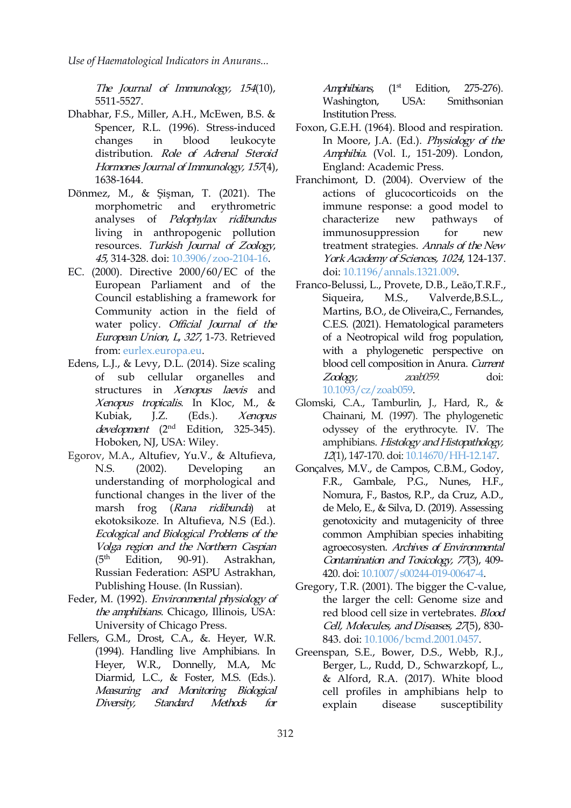The Journal of Immunology, <sup>154</sup>(10), 5511-5527.

- Dhabhar, F.S., Miller, A.H., McEwen, B.S. & Spencer, R.L. (1996). Stress-induced distribution. Role of Adrenal Steroid Hormones Journal of Immunology, 157(4), 1638-1644.
- Dönmez, M., & Şişman, T. (2021). The morphometric and erythrometric analyses of Pelophylax ridibundus living in anthropogenic pollution resources. Turkish Journal of Zoology, 45, 314-328. doi: [10.3906/zoo-2104-16.](https://doi.org/10.3906/zoo-2104-16)
- EC. (2000). Directive 2000/60/EC of the European Parliament and of the Council establishing a framework for Community action in the field of water policy. Official Journal of the European Union, <sup>L</sup>, <sup>327</sup>, 1-73. Retrieved from: [eurlex.europa.eu.](http://eurlex.europa.eu/LexUriServ/LexUriServ.do?uri=CELEX:32000L0060:en:NOT)
- Edens, L.J., & Levy, D.L. (2014). Size scaling of sub cellular organelles and structures in Xenopus laevis and Xenopus tropicalis. In Kloc, M., & development (2<sup>nd</sup> Edition, 325-345). Hoboken, NJ, USA: Wiley.
- Egorov, M.A., Аltufiev, Yu.V., & Аltufieva, understanding of morphological and functional changes in the liver of the marsh frog (Rana ridibunda) at ekotoksikoze. In Аltufieva, N.S (Ed.). Ecological and Biological Problems of the Volga region and the Northern Caspian  $(5<sup>th</sup>$  Edition, 90-91). Astrakhan, Russian Federation: ASPU Astrakhan, Publishing House. (In Russian).
- Feder, M. (1992). Environmental physiology of the amphibians. Chicago, Illinois, USA: University of Chicago Press.
- Fellers, G.M., Drost, C.A., &. Heyer, W.R. (1994). Handling live Amphibians. In Heyer, W.R., Donnelly, M.A, Mc Diarmid, L.C., & Foster, M.S. (Eds.). Measuring and Monitoring Biological Diversity, Standard Methods for explain

Amphibians,  $(1<sup>st</sup> Edition,$ 275-276). Washington, USA: Smithsonian Institution Press.

- changes in blood leukocyte Min Moore, J.A. (Ed.). *Physiology of the* Foxon, G.E.H. (1964). Blood and respiration. Amphibia. (Vol. I., 151-209). London, England: Academic Press.
	- Franchimont, D. (2004). Overview of the actions of glucocorticoids on the immune response: a good model to characterize new pathways of immunosuppression for new treatment strategies. Annals of the New York Academy of Sciences, 1024, 124-137. doi: [10.1196/annals.1321.009](https://doi.org/10.1196/annals.1321.009).
	- Franco-Belussi, L., Provete, D.B., Leão,T.R.F., M.S., Valverde, B.S.L., Martins, B.O., de Oliveira,C., Fernandes, C.E.S. (2021). Hematological parameters of a Neotropical wild frog population, with a phylogenetic perspective on blood cell composition in Anura. Current Zoology, zoab059. doi: [10.1093/cz/zoab059](https://doi.org/10.1093/cz/zoab059).
- Kubiak, J.Z. (Eds.). *Xenopus* Chainani, M. (1997). The phylogenetic Glomski, C.A., Tamburlin, J., Hard, R., & odyssey of the erythrocyte. IV. The amphibians. Histology and Histopathology, 12(1), 147-170. doi: [10.14670/HH-12.147.](https://doi.org/10.14670/HH-12.147)
- N.S. (2002). Developing an Gonçalves, M.V., de Campos, C.B.M., Godoy, F.R., Gambale, P.G., Nunes, H.F., Nomura, F., Bastos, R.P., da Cruz, A.D., de Melo, E., & Silva, D. (2019). Assessing genotoxicity and mutagenicity of three common Amphibian species inhabiting agroecosysten. Archives of Environmental Contamination and Toxicology, <sup>77</sup>(3), 409- 420. doi: [10.1007/s00244-019-00647-4](https://doi.org/10.1007/s00244-019-00647-4).
	- Gregory, T.R. (2001). The bigger the C-value, the larger the cell: Genome size and red blood cell size in vertebrates. Blood Cell, Molecules, and Diseases, 27(5), 830- 843. doi: [10.1006/bcmd.2001.0457](https://doi.org/10.1006/bcmd.2001.0457).
	- Greenspan, S.E., Bower, D.S., Webb, R.J., Berger, L., Rudd, D., Schwarzkopf, L., & Alford, R.A. (2017). White blood cell profiles in amphibians help to disease susceptibility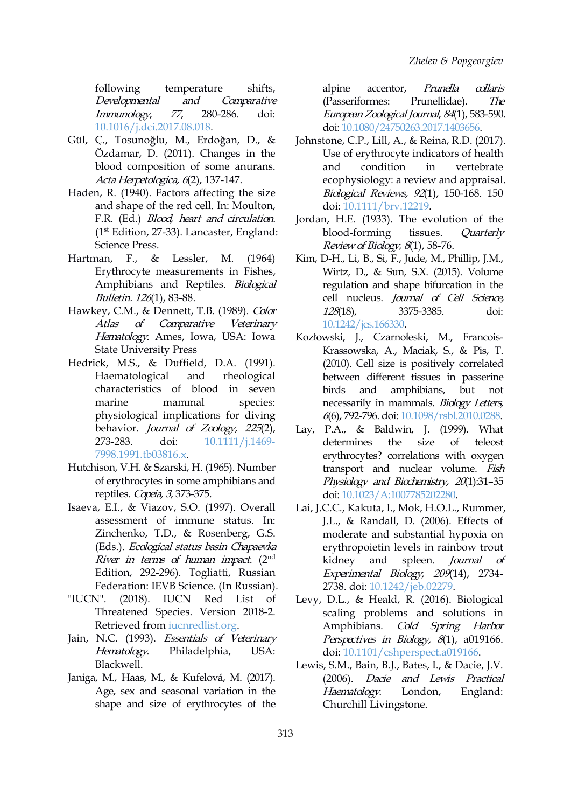following temperature shifts, alpine Developmental and Comparative Immunology, <sup>77</sup>, 280-286. doi: [10.1016/j.dci.2017.08.018](https://doi.org/10.1016/j.dci.2017.08.018).

- Gül, Ç., Tosunoğlu, M., Erdoğan, D., & Özdamar, D. (2011). Changes in the blood composition of some anurans.Acta Herpetologica, <sup>6</sup>(2), 137-147.
- Haden, R. (1940). Factors affecting the size and shape of the red cell. In: Moulton, F.R. (Ed.) *Blood, heart and circulation*. (1 st Edition, 27-33). Lancaster, England: Science Press.
- Erythrocyte measurements in Fishes, Amphibians and Reptiles. Biological Bulletin. 126(1), 83-88.
- Hawkey, C.M., & Dennett, T.B. (1989). Color 128(18), Atlas of Comparative Veterinary [10.1242/jcs.166330.](https://doi.org/10.1242/jcs.166330) Hematology. Ames, Iowa, USA: Iowa State University Press
- Hedrick, M.S., & Duffield, D.A. (1991). Haematological and rheological characteristics of blood in seven marine mammal species: physiological implications for diving behavior. *Journal of Zoology*, 225(2), 273-283. doi: [10.1111/j.1469-](https://doi.org/10.1111/j.1469-7998.1991.tb03816.x) 7998.1991.tb03816.x.
- Hutchison, V.H. & Szarski, H. (1965). Number of erythrocytes in some amphibians and reptiles. Copeia, <sup>3</sup>, 373-375.
- Isaeva, E.I., & Viazov, S.O. (1997). Overall assessment of immune status. In: Zinchenko, T.D., & Rosenberg, G.S. (Eds.). Ecological status basin Chapaevka River in terms of human impact.  $(2<sup>nd</sup>$ Edition, 292-296). Togliatti, Russian Federation: IEVB Science. (In Russian).
- "IUCN". (2018). IUCN Red List of Threatened Species. Version 2018-2. Retrieved from [iucnredlist.org.](http://iucnredlist.org) Amphibians.
- Jain, N.C. (1993). Essentials of Veterinary Hematology. Philadelphia, USA: Blackwell.
- Janiga, M., Haas, M., & Kufelová, M. (2017). Age, sex and seasonal variation in the shape and size of erythrocytes of the

accentor, Prunella collaris (Passeriformes: Prunellidae). The EuropeanZoological Journal, <sup>84</sup>(1), 583-590. doi: [10.1080/24750263.2017.1403656](https://doi.org/10.1080/24750263.2017.1403656).

- Johnstone, C.P., Lill, A., & Reina, R.D. (2017). Use of erythrocyte indicators of health condition in vertebrate ecophysiology: a review and appraisal. Biological Reviews, <sup>92</sup>(1), 150-168. 150 doi: [10.1111/brv.12219](https://doi.org/10.1111/brv.12219).
- Jordan, H.E. (1933). The evolution of the blood-forming tissues. Quarterly Reviewof Biology, <sup>8</sup>(1), 58-76.
- Hartman, F., & Lessler, M. (1964) Kim, D-H., Li, B., Si, F., Jude, M., Phillip, J.M., Wirtz, D., & Sun, S.X. (2015). Volume regulation and shape bifurcation in the cell nucleus. Journal of Cell Science, 128(18), 3375-3385. doi:
	- Kozłowski, J., Czarnołeski, M., Francois- Krassowska, A., Maciak, S., & Pis, T.  $(2010)$ . Cell size is positively correlated between different tissues in passerine amphibians, but not necessarily in mammals. Biology Letters, 6(6), 792-796. doi: [10.1098/rsbl.2010.0288.](https://doi.org/10.1098/rsbl.2010.0288)
	- Lay, P.A., & Baldwin, J. (1999). What determines the size of teleost erythrocytes? correlations with oxygen transport and nuclear volume. Fish Physiology and Biochemistry, 20(1):31-35 doi: [10.1023/A:1007785202280.](https://doi.org/10.1023/A:1007785202280)
	- kidnev Lai, J.C.C., Kakuta, I., Mok, H.O.L., Rummer, J.L., & Randall, D. (2006). Effects of moderate and substantial hypoxia on erythropoietin levels in rainbow trout and spleen. Journal of Experimental Biology, <sup>209</sup>(14), 2734- 2738. doi: [10.1242/jeb.02279](https://doi.org/10.1242/jeb.02279).
	- Levy, D.L., & Heald, R. (2016). Biological scaling problems and solutions in Cold Spring Harbor Perspectives in Biology, 8(1), a019166. doi: [10.1101/cshperspect.a019166.](https://doi.org/10.1101/cshperspect.a019166)
	- Lewis, S.M., Bain, B.J., Bates, I., & Dacie, J.V. Dacie and Lewis Practical Haematology. London, England: Churchill Livingstone.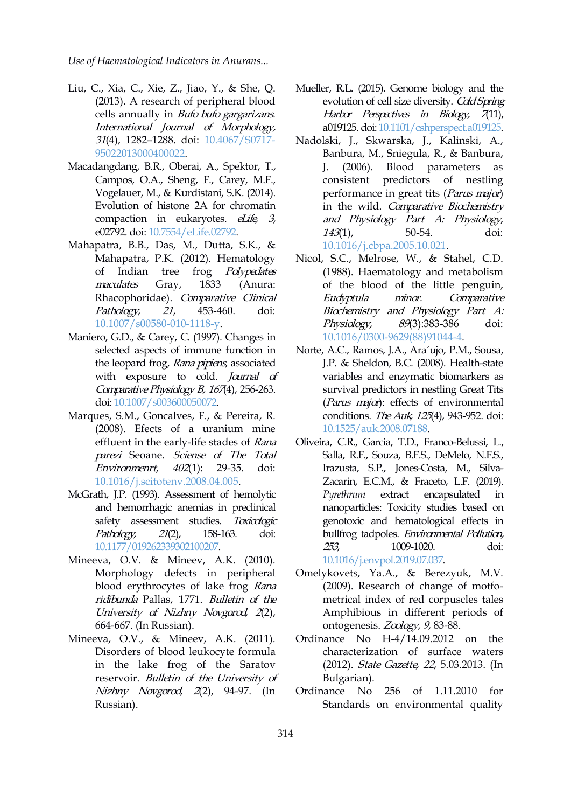- Liu, C., Xia, C., Xie, Z., Jiao, Y., & She, Q. (2013). A research of peripheral blood cells annually in Bufo bufo gargarizans. International Journal of Morphology, 31(4), 1282–1288. doi: [10.4067/S0717-](https://doi.org/10.4067/S0717-95022013000400022) 95022013000400022.
- Macadangdang, B.R., Oberai, A., Spektor, T., Campos, O.A., Sheng, F., Carey, M.F., Vogelauer, M., & Kurdistani, S.K. (2014). Evolution of histone 2A for chromatin compaction in eukaryotes. *eLife*, 3, e02792. doi: [10.7554/eLife.02792](https://doi.org/10.7554/eLife.02792).
- Мahapatra, B.B., Das, M., Dutta, S.K., & Mahapatra, P.K. (2012). Hematology of Indian tree frog Polypedates maculates Gray, 1833 (Anura: Rhacophoridae). Comparative Clinical Eudyptula Pathology, <sup>21</sup>, 453-460. doi: [10.1007/s00580-010-1118-y](https://doi.org/10.1007/s00580-010-1118-y).
- Maniero, G.D., & Carey, C. (1997). Changes in selected aspects of immune function in the leopard frog, Rana pipiens, associated with exposure to cold. Journal of Comparative Physiology B,  $1674$ , 256-263. doi: [10.1007/s003600050072.](https://doi.org/10.1007/s003600050072)
- Маrques, S.M., Goncalves, F., & Pereira, R. (2008). Efects of a uranium mine effluent in the early-life stades of Rana parezi Seoane. Sciense of The Total Environmenrt, 402(1): 29-35. doi: [10.1016/j.scitotenv.2008.04.005](https://doi.org/10.1016/j.scitotenv.2008.04.005).
- McGrath, J.P. (1993). Assessment of hemolytic and hemorrhagic anemias in preclinical safety assessment studies. Toxicologic Pathology, 21(2), 158-163. doi: [10.1177/019262339302100207.](https://doi.org/10.1177/019262339302100207)
- Mineeva, O.V. & Mineev, A.K. (2010). Morphology defects in peripheral blood erythrocytes of lake frog Rana ridibunda Pallas, 1771. Bulletin of the University of Nizhny Novgorod, <sup>2</sup>(2), 664-667. (In Russian).
- Mineeva, O.V., & Mineev, A.K. (2011). Disorders of blood leukocyte formula in the lake frog of the Saratov reservoir. Bulletin of the University of Nizhny Novgorod, 2(2), 94-97. (In Ordinance No Russian).
- Mueller, R.L. (2015). Genome biology and the evolution of cell size diversity. Cold Spring Harbor Perspectives in Biology, 7(11), a019125. doi: [10.1101/cshperspect.a019125](https://doi.org/10.1101/cshperspect.a019125).
- Nadolski, J., Skwarska, J., Kalinski, A., Banbura, M., Sniegula, R., & Banbura,  $(2006)$ . Blood parameters as consistent predictors of nestling performance in great tits (Parus major) in the wild. Comparative Biochemistry and Physiology Part A: Physiology, 143(1), 50-54. doi: [10.1016/j.cbpa.2005.10.021](https://doi.org/10.1016/j.cbpa.2005.10.021).
- Nicol, S.C., Melrose, W., & Stahel, C.D. (1988). Haematology and metabolism of the blood of the little penguin, minor. Comparative Biochemistry and Physiology Part A: Physiology, 89(3):383-386 doi: [10.1016/0300-9629\(88\)91044-4.](https://doi.org/10.1016/0300-9629(88)91044-4)
- Norte, A.C., Ramos, J.A., Ara´ujo, P.M., Sousa, J.P. & Sheldon, B.C. (2008). Health-state variables and enzymatic biomarkers as survival predictors in nestling Great Tits (Parus  $m$ ajor): effects of environmental conditions. The Auk, 125(4), 943-952. doi: [10.1525/auk.2008.07188.](https://doi.org/10.1525/auk.2008.07188)
- Oliveira, C.R., Garcia, T.D., Franco-Belussi, L., Salla, R.F., Souza, B.F.S., DeMelo, N.F.S., Irazusta, S.P., Jones-Costa, M., Silva- Zacarin, E.C.M., & Fraceto, L.F. (2019). extract encapsulated in nanoparticles: Toxicity studies based on genotoxic and hematological effects in bullfrog tadpoles. Environmental Pollution, 253, 1009-1020. doi: [10.1016/j.envpol.2019.07.037.](https://doi.org/10.1016/j.envpol.2019.07.037)
- Omelykovets, Ya.A., & Berezyuk, M.V. (2009). Research of change of motfo metrical index of red corpuscles tales Amphibious in different periods of ontogenesis. Zoology, <sup>9</sup>, 83-88.
- Ordinance No H-4/14.09.2012 on the characterization of surface waters (2012). State Gazette, 22, 5.03.2013. (In Bulgarian).
- 256 of 1.11.2010 for Standards on environmental quality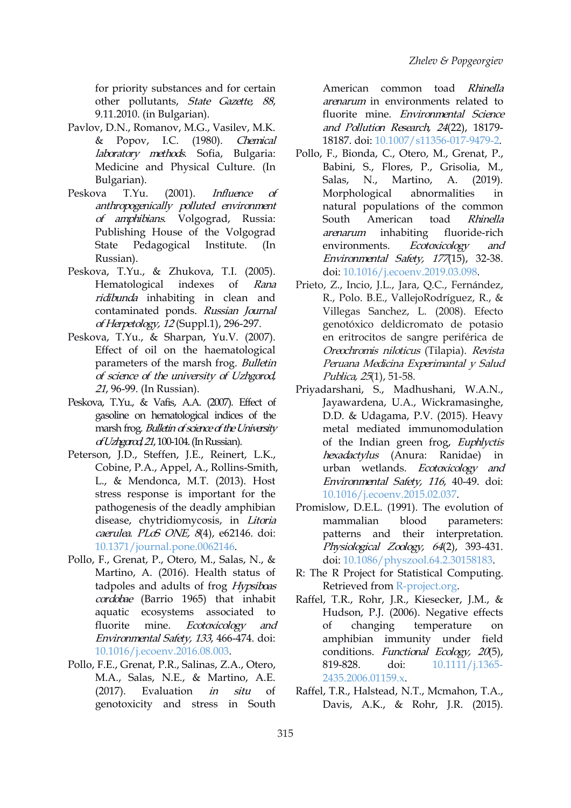for priority substances and for certain other pollutants, State Gazette, 88, 9.11.2010. (in Bulgarian).

- Рavlov, D.N., Romanov, M.G., Vasilev, M.K. & Popov, I.C. (1980). Chemical laboratory methods. Sofia, Bulgaria: Medicine and Physical Culture. (In Bulgarian).
- Peskova T.Yu. (2001). *Influence of* anthropogenically polluted environment of amphibians. Volgograd, Russia: Publishing House of the Volgograd arenarum inhabiting Russian).
- Peskova, T.Yu., & Zhukova, T.I. (2005). ridibunda inhabiting in clean and contaminated ponds. Russian Journal of Herpetology, <sup>12</sup> (Suppl.1), 296-297.
- Peskova, T.Yu., & Sharpan, Yu.V. (2007). Effect of oil on the haematological parameters of the marsh frog. Bulletin of science of the university of Uzhgorod, 21, 96-99. (In Russian).
- Peskova, T.Yu., & Vafis, A.A. (2007). Effect of gasoline on hematological indices of the marsh frog. Bulletin of science of the University ofUzhgorod,21,100-104.(InRussian).
- Peterson, J.D., Steffen, J.E., Reinert, L.K., Cobine, P.A., Appel, A., Rollins-Smith, L., & Mendonca, M.T. (2013). Host stress response is important for the pathogenesis of the deadly amphibian disease, chytridiomycosis, in *Litoria* mammalian caerulea. PLoS ONE,  $8(4)$ , e62146. doi: [10.1371/journal.pone.0062146.](https://doi.org/10.1371/journal.pone.0062146)
- Pollo, F., Grenat, P., Otero, M., Salas, N., & Martino, A. (2016). Health status of tadpoles and adults of frog Hypsiboas cordobae (Barrio 1965) that inhabit aquatic ecosystems associated to fluorite mine. *Ecotoxicology and* of changing Environmental Safety, <sup>133</sup>, 466-474. doi: [10.1016/j.ecoenv.2016.08.003.](https://doi.org/10.1016/j.ecoenv.2016.08.003)
- Pollo, F.E., Grenat, P.R., Salinas, Z.A., Otero, M.A., Salas, N.E., & Martino, A.E. genotoxicity and stress in South

American common toad Rhinella arenarum in environments related to fluorite mine. Environmental Science and Pollution Research, 24(22), 18179- 18187. doi: [10.1007/s11356-017-9479-2.](https://doi.org/10.1007/s11356-017-9479-2)

- State Pedagogical Institute. (In environments. *Ecotoxicology and* Pollo, F., Bionda, C., Otero, M., Grenat, P., Babini, S., Flores, P., Grisolia, M., Salas, N., Martino, A. (2019). Morphological abnormalities in natural populations of the common American toad Rhinella fluoride-rich Environmental Safety, <sup>177</sup>(15), 32-38. doi: [10.1016/j.ecoenv.2019.03.098.](https://doi.org/10.1016/j.ecoenv.2019.03.098)
- Hematological indexes of *Rana* Prieto, Z., Incio, J.L., Jara, Q.C., Fernández, R., Polo. B.E., VallejoRodríguez, R., & Villegas Sanchez, L. (2008). Efecto genotóxico deldicromato de potasio en eritrocitos de sangre periférica de Oreochromis niloticus (Tilapia). Revista Peruana Medicina Experimantal y Salud Publica, 25(1), 51-58.
	- Priyadarshani, S., Madhushani, W.A.N., Jayawardena, U.A., Wickramasinghe, D.D. & Udagama, P.V. (2015). Heavy metal mediated immunomodulation of the Indian green frog, Euphlyctis hexadactylus (Anura: Ranidae) in urban wetlands. Ecotoxicology and Environmental Safety, <sup>116</sup>, 40-49. doi: [10.1016/j.ecoenv.2015.02.037](https://doi.org/10.1016/j.ecoenv.2015.02.037).
	- Promislow, D.E.L. (1991). The evolution of blood parameters: patterns and their interpretation. Physiological Zoology, <sup>64</sup>(2), 393-431. doi: [10.1086/physzool.64.2.30158183.](https://doi.org/10.1086/physzool.64.2.30158183)
	- R: The R Project for Statistical Computing. Retrieved from [R-project.org.](http://www.r-project.org)
	- Raffel, T.R., Rohr, J.R., Kiesecker, J.M., & Hudson, P.J. (2006). Negative effects temperature on amphibian immunity under field conditions. Functional Ecology, 20(5), doi: [10.1111/j.1365-](https://doi.org/10.1111/j.1365-2435.2006.01159.x) 2435.2006.01159.x.
- (2017). Evaluation *in situ* of Raffel, T.R., Halstead, N.T., Mcmahon, T.A., Davis, A.K., & Rohr, J.R. (2015).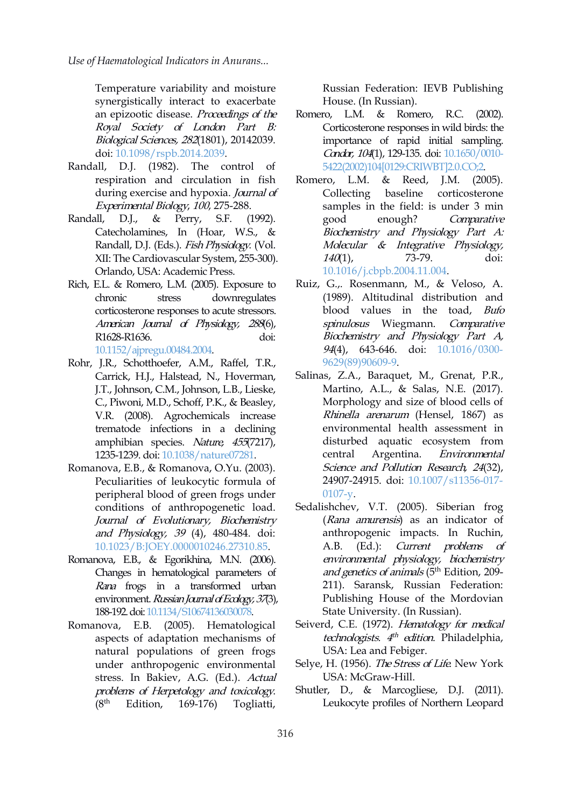Temperature variability and moisture synergistically interact to exacerbate an epizootic disease. Proceedings of the Romero, Royal Society of London Part B: Biological Sciences, <sup>282</sup>(1801), 20142039. doi: [10.1098/rspb.2014.2039](https://doi.org/10.1098/rspb.2014.2039).

- Randall, D.J. (1982). The control of respiration and circulation in fish during exercise and hypoxia. *Journal of* Collecting Experimental Biology, <sup>100</sup>, 275-288.
- Randall, D.J., & Perry, S.F. (1992). Catecholamines, In (Hoar, W.S., & Randall, D.J. (Eds.). Fish Physiology. (Vol. XII: The Cardiovascular System, 255-300). Orlando, USA: Academic Press.
- Rich, E.L. & Romero, L.M. (2005). Exposure to chronic stress downregulates corticosterone responses to acute stressors. American Journal of Physiology, <sup>288</sup>(6), R1628-R1636. doi: [10.1152/ajpregu.00484.2004.](https://doi.org/10.1152/ajpregu.00484.2004)
- Rohr, J.R., Schotthoefer, A.M., Raffel, T.R., Carrick, H.J., Halstead, N., Hoverman, J.T., Johnson, C.M., Johnson, L.B., Lieske, C., Piwoni, M.D., Schoff, P.K., & Beasley, V.R. (2008). Agrochemicals increase trematode infections in a declining amphibian species. Nature, 455(7217), 1235-1239. doi: [10.1038/nature07281.](https://doi.org/10.1038/nature07281)
- Romanova, E.B., & Romanova, O.Yu. (2003). Peculiarities of leukocytic formula of peripheral blood of green frogs under conditions of anthropogenetic load. Journal of Evolutionary, Biochemistry and Physiology, <sup>39</sup> (4), 480-484. doi: [10.1023/B:JOEY.0000010246.27310.85](https://doi.org/10.1023/B:JOEY.0000010246.27310.85).
- Romanova, E.B., & Egorikhina, M.N. (2006). Changes in hematological parameters of Rana frogs in a transformed urban environment. Russian Journal of Ecology, 37(3), 188-192.doi: [10.1134/S10674136030078](https://doi.org/10.1134/S10674136030078).
- Romanova, E.B. (2005). Hematological aspects of adaptation mechanisms of natural populations of green frogs under anthropogenic environmental stress. In Bakiev, A.G. (Ed.). Actual problems of Herpetology and toxicology.<br>(8<sup>th</sup> Edition, 169-176) Togliatti. (8 th Edition, 169-176) Togliatti,

Russian Federation: IEVB Publishing House. (In Russian).

- L.M. & Romero, R.C. (2002). Corticosterone responses in wild birds: the importance of rapid initial sampling. Candar, 104(1), 129-135. doi: [10.1650/0010-](https://doi.org/10.1650/0010-5422(2002)104[0129:CRIWBT]2.0.CO;2) 5422(2002)104[0129:CRIWBT]2.0.CO;2.
- & Reed, J.M. (2005). baseline corticosterone samples in the field: is under 3 min enough? Comparative Biochemistry and Physiology Part A: Molecular & Integrative Physiology, 140(1), 73-79. doi: [10.1016/j.cbpb.2004.11.004.](https://doi.org/10.1016/j.cbpb.2004.11.004)
- Ruiz, G.,. Rosenmann, M., & Veloso, A. (1989). Altitudinal distribution and blood values in the toad, Bufo spinulosus Wiegmann. Comparative Biochemistry and Physiology Part A, 94(4), 643-646. doi: [10.1016/0300-](https://doi.org/10.1016/0300-9629(89)90609-9) 9629(89)90609-9.
- Salinas, Z.A., Baraquet, M., Grenat, P.R., Martino, A.L., & Salas, N.E. (2017). Morphology and size of blood cells of Rhinella arenarum (Hensel, 1867) as environmental health assessment in disturbed aquatic ecosystem from central Argentina. Environmental Science and Pollution Research, 24(32), 24907-24915. doi: [10.1007/s11356-017-](https://doi.org/10.1007/s11356-017-0107-y) 0107-y.
- Sedalishchev, V.T. (2005). Siberian frog (Rana amurensis) as an indicator of anthropogenic impacts. In Ruchin, A.B. (Ed.): Current problems of environmental physiology, biochemistry *and genetics of animals* (5<sup>th</sup> Edition, 209-211). Saransk, Russian Federation: Publishing House of the Mordovian State University. (In Russian).
- Seiverd, C.E. (1972). Hematology for medical technologists. 4<sup>th</sup> edition. Philadelphia, USA: Lea and Febiger.
- Selye, H. (1956). The Stress of Life. New York USA: McGraw-Hill.
- Shutler, D., & Marcogliese, D.J. (2011). Leukocyte profiles of Northern Leopard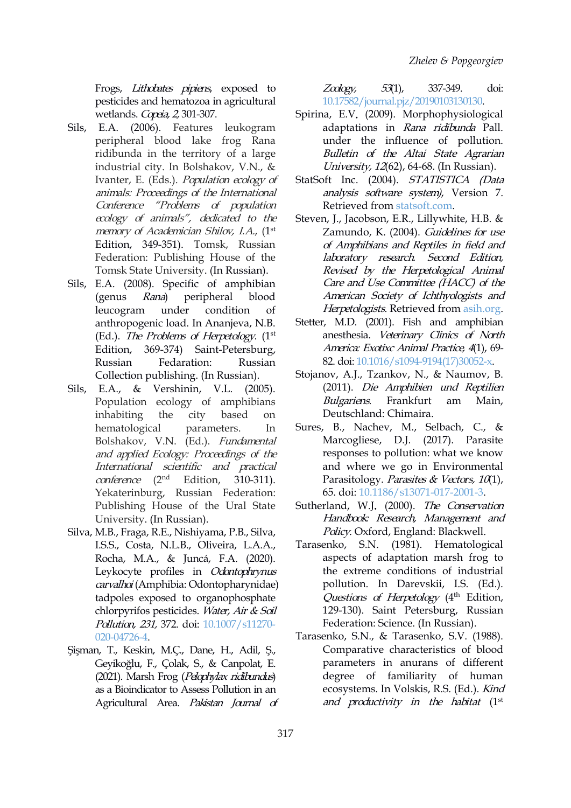Frogs, Lithobates pipiens, exposed to  $Z\alpha log y$ , 53(1), pesticides and hematozoa in agricultural wetlands. Copeia, 2, 301-307.

- Sils, E.A. (2006). Features leukogram peripheral blood lake frog Rana ridibunda in the territory of a large industrial city. In Bolshakov, V.N., & Ivanter, E. (Eds.). Population ecology of animals: Proceedings of the International Conference "Problems of population ecology of animals", dedicated to the memory of Academician Shilov, I.A., (1<sup>st</sup> Zamundo, Edition, 349-351). Tomsk, Russian Federation: Publishing House of the Tomsk State University. (In Russian).
- Sils, E.A. (2008). Specific of amphibian leucogram under condition of anthropogenic load. In Ananjeva, N.B. (Ed.). The Problems of Herpetology. (1<sup>st</sup> anesthesia. Edition, 369-374) Saint-Petersburg, Collection publishing. (In Russian).
- Sils, E.A., & Vershinin, V.L. (2005). Population ecology of amphibians Bulgariens. inhabiting the city based on Deutschland: Chimaira. Bolshakov, V.N. (Ed.). Fundamental and applied Ecology: Proceedings of the International scientific and practical  $coherence$  (2<sup>nd</sup> Edition,  $310-311$ ). Yekaterinburg, Russian Federation: Publishing House of the Ural State University. (In Russian).
- Silva, M.B., Fraga, R.E., Nishiyama, P.B., Silva, I.S.S., Costa, N.L.B., Oliveira, L.A.A., Rocha, M.A., & Juncá, F.A. (2020). Leykocyte profiles in Odontophrynus carvalhoi (Amphibia: Odontopharynidae) tadpoles exposed to organophosphate chlorpyrifos pesticides. Water, Air & Soil Pollution, 231, 372. doi: [10.1007/s11270-](https://doi.org/10.1007/s11270-020-04726-4) 020-04726-4.
- Şişman, T., Keskin, M.Ç., Dane, H., Adil, Ş., Geyikoğlu, F., Çolak, S., & Canpolat, E. (2021). Marsh Frog (Pelophylax ridibundus) as a Bioindicator to Assess Pollution in an Agricultural Area. Pakistan Journal of

Zoology, 53(1), 337-349. doi: [10.17582/journal.pjz/20190103130130.](https://doi.org/10.17582/journal.pjz/20190103130130)

- Spirina, E.V. (2009). Morphophysiological adaptations in Rana ridibunda Pall. under the influence of pollution. Bulletin of the Altai State Agrarian University, <sup>12</sup>(62), 64-68. (In Russian).
- StatSoft Inc. (2004). STATISTICA (Data analysis software system), Version 7. Retrieved from [statsoft.com.](http://www.statsoft.com)
- (genus Rana) peripheral blood American Society of Ichthyologists and Steven, J., Jacobson, E.R., Lillywhite, H.B. & Zamundo, K. (2004). Guidelines for use of Amphibians and Reptiles in field and laboratory research. Second Edition, Revised by the Herpetological Animal Care and Use Committee (HACC) of the Herpetologists. Retrieved from [asih.org](http://www.asih.org/files/hacc-final.pdf)by).
- Russian Fedaration: Russian 82. doi: [10.1016/s1094-9194\(17\)30052-x](https://doi.org/10.1016/s1094-9194(17)30052-x). Stetter, M.D. (2001). Fish and amphibian anesthesia. Veterinary Clinics of North America: Exotixc Animal Practice, 4(1), 69-
	- Stojanov, A.J., Tzankov, N., & Naumov, B. (2011). Die Amphibien und Reptilien Frankfurt am Main,
- hematological parameters. In Sures, B., Nachev, M., Selbach, C., & Marcogliese, D.J. (2017). Parasite responses to pollution: what we know and where we go in Environmental Parasitology. Parasites & Vectors, 10(1), 65. doi: [10.1186/s13071-017-2001-3](https://doi.org/10.1186/s13071-017-2001-3).
	- Sutherland, W.J. (2000). The Conservation Handbook: Research, Management and Policy. Oxford, England: Blackwell.
	- Tarasenko, S.N. (1981). Hematological aspects of adaptation marsh frog to the extreme conditions of industrial pollution. In Darevskii, I.S. (Ed.). Questions of Herpetology (4<sup>th</sup> Edition, 129-130). Saint Petersburg, Russian Federation: Science. (In Russian).
	- Tarasenko, S.N., & Tarasenko, S.V. (1988). Comparative characteristics of blood parameters in anurans of different degree of familiarity of human ecosystems. In Volskis, R.S. (Ed.). Kind and productivity in the habitat (1 st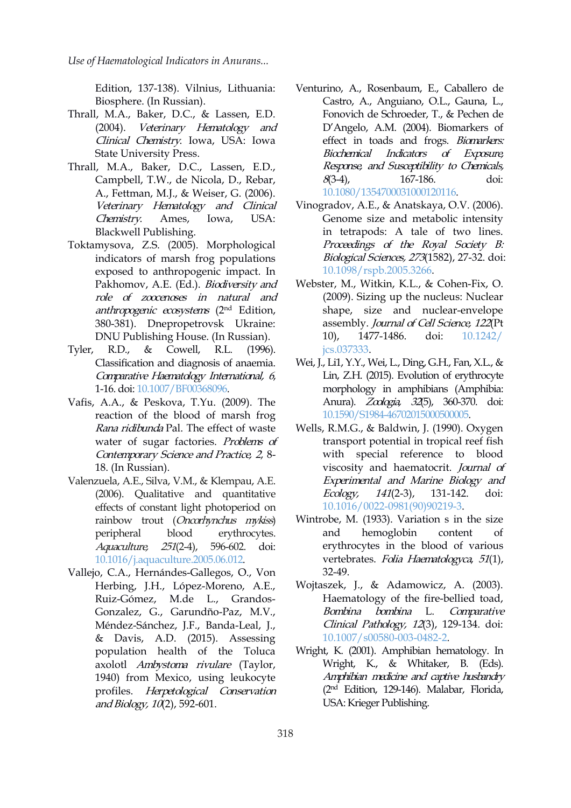Edition, 137-138). Vilnius, Lithuania: Biosphere. (In Russian).

- Thrall, M.A., Baker, D.C., & Lassen, E.D. (2004). Veterinary Hematology and Clinical Chemistry. Iowa, USA: Iowa State University Press.
- Thrall, M.A., Baker, D.C., Lassen, E.D., Campbell, T.W., de Nicola, D., Rebar, A., Fettman, M.J., & Weiser, G. (2006). Veterinary Hematology and Clinical Chemistry. Ames, Iowa, USA: Blackwell Publishing.
- Toktamysova, Z.S. (2005). Morphological indicators of marsh frog populations exposed to anthropogenic impact. In Pakhomov, A.E. (Ed.). Biodiversity and role of zoocenoses in natural and *anthropogenic ecosystems* (2<sup>nd</sup> Edition*,* s 380-381). Dnepropetrovsk Ukraine: DNU Publishing House. (In Russian).
- Tyler, R.D., & Cowell, R.L. (1996). Classification and diagnosis of anaemia. Comparative Haematology International, <sup>6</sup>, 1-16. doi: [10.1007/BF00368096.](https://doi.org/10.1007/BF00368096)
- Vafis, A.A., & Peskova, T.Yu. (2009). The reaction of the blood of marsh frog Rana ridibunda Pal. The effect of waste water of sugar factories. Problems of Contemporary Science and Practice, <sup>2</sup>, 8- 18. (In Russian).
- Valenzuela, A.E., Silva, V.M., & Klempau, A.E. (2006). Qualitative and quantitative Ecology, effects of constant light photoperiod on rainbow trout (Oncorhynchus mykiss) peripheral blood erythrocytes. Aquaculture, <sup>251</sup>(2-4), 596-602. doi: [10.1016/j.aquaculture.2005.06.012](https://doi.org/10.1016/j.aquaculture.2005.06.012).
- Vallejo, C.A., Hernándes-Gallegos, O., Von Herbing, J.H., López-Moreno, A.E., Ruiz-Gómez, M.de L., Grandos- Gonzalez, G., Garundño-Paz, M.V., Méndez-Sánchez, J.F., Banda-Leal, J., & Davis, A.D. (2015). Assessing population health of the Toluca axolotl Ambystoma rivulare (Taylor, 1940) from Mexico, using leukocyte profiles. Herpetological Conservation and Biology, 10(2), 592-601.
- Venturino, A., Rosenbaum, E., Caballero de Castro, A., Anguiano, O.L., Gauna, L., Fonovich de Schroeder, T., & Pechen de D'Angelo, A.M. (2004). Biomarkers of effect in toads and frogs. Biomarkers: Biochemical Indicators of Exposure, Response, and Susceptibility to Chemicals, 8(3-4), 167-186. doi: [10.1080/1354700031000120116](https://doi.org/10.1080/1354700031000120116).
- Vinogradov, A.E., & Anatskaya, O.V. (2006). Genome size and metabolic intensity in tetrapods: A tale of two lines. Proceedings of the Royal Society B: Biological Sciences, <sup>273</sup>(1582), 27-32. doi: [10.1098/rspb.2005.3266](https://doi.org/10.1098/rspb.2005.3266).
- Webster, M., Witkin, K.L., & Cohen-Fix, O. (2009). Sizing up the nucleus: Nuclear shape, size and nuclear-envelope assembly. Journal of Cell Science, 122(Pt 10), 1477-1486. doi: [10.1242/](https://doi.org/10.1242/ jcs.037333) jcs.037333.
- Wei, J., Li1, Y.Y., Wei, L., Ding, G.H., Fan, X.L., & Lin, Z.H. (2015). Evolution of erythrocyte morphology in amphibians (Amphibia: Anura). *Zoologia, 32*(5), 360-370. doi: [10.1590/S1984-46702015000500005](https://doi.org/10.1590/S1984-46702015000500005).
- Wells, R.M.G., & Baldwin, J. (1990). Oxygen transport potential in tropical reef fish with special reference to blood viscosity and haematocrit. Journal of Experimental and Marine Biology and 141(2-3), 131-142. doi: [10.1016/0022-0981\(90\)90219-3.](https://doi.org/10.1016/0022-0981(90)90219-3)
- Wintrobe, M. (1933). Variation s in the size hemoglobin content of erythrocytes in the blood of various vertebrates. Folia Haematologyca, 51(1), 32-49.
- Wojtaszek, J., & Adamowicz, A. (2003). Haematology of the fire-bellied toad, Bombina bombina L. Comparative Clinical Pathology, <sup>12</sup>(3), 129-134. doi: [10.1007/s00580-003-0482-2](https://doi.org/10.1007/s00580-003-0482-2).
- Wright, K. (2001). Amphibian hematology. In Wright, K., & Whitaker, B. (Eds). Amphibian medicine and captive husbandry (2 nd Edition, 129-146). Malabar, Florida, USA: Krieger Publishing.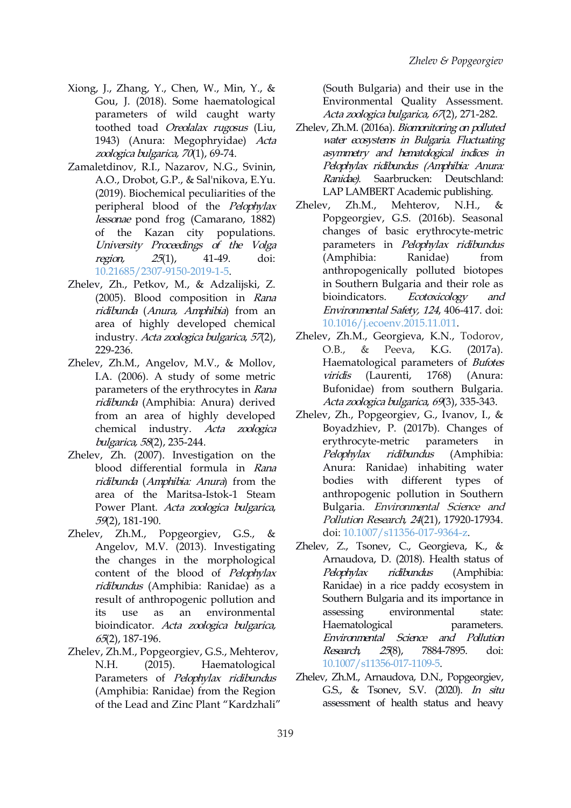- Xiong, J., Zhang, Y., Chen, W., Min, Y., & Gou, J. (2018). Some haematological parameters of wild caught warty toothed toad Oreolalax rugosus (Liu, 1943) (Anura: Megophryidae) Acta zoologica bulgarica, <sup>70</sup>(1), 69-74.
- Zamaletdinov, R.I., Nazarov, N.G., Svinin, A.O., Drobot, G.P., & Sal'nikova, E.Yu. (2019). Biochemical peculiarities of the peripheral blood of the *Pelophylax* Zhelev, Zh.M., lessonae pond frog (Camarano, 1882) of the Kazan city populations. University Proceedings of the Volga region, 25(1), 41-49. doi: [10.21685/2307-9150-2019-1-5.](https://doi.org/10.21685/2307-9150-2019-1-5)
- Zhelev, Zh., Petkov, M., & Adzalijski, Z. (2005). Blood composition in Rana ridibunda (Anura, Amphibia) from an area of highly developed chemical industry. Acta zoologica bulgarica, <sup>57</sup>(2), 229-236.
- Zhelev, Zh.M., Angelov, M.V., & Mollov, I.A. (2006). A study of some metric parameters of the erythrocytes in Rana ridibunda (Amphibia: Anura) derived from an area of highly developed chemical industry. Acta zoologica bulgarica, <sup>58</sup>(2), 235-244.
- Zhelev, Zh. (2007). Investigation on the *Pelophylax* blood differential formula in Rana ridibunda (Amphibia: Anura) from the area of the Maritsa-Istok-1 Steam Power Plant. Acta zoologica bulgarica, 59(2), 181-190.
- Zhelev, Zh.M., Popgeorgiev, G.S., & Angelov, M.V. (2013). Investigating the changes in the morphological content of the blood of Pelophylax Pelophylax ridibundus (Amphibia: Ranidae) as a result of anthropogenic pollution and its use as an environmental bioindicator. Acta zoologica bulgarica, 65(2), 187-196.
- Zhelev, Zh.M., Popgeorgiev, G.S., Mehterov, Research, N.H. (2015). Haematological Parameters of Pelophylax ridibundus (Amphibia: Ranidae) from the Region of the Lead and Zinc Plant "Kardzhali"

(South Bulgaria) and their use in the Environmental Quality Assessment. Acta zoologica bulgarica, 67(2), 271-282.

- Zhelev, Zh.M. (2016a). Biomonitoring on polluted water ecosystems in Bulgaria. Fluctuating asymmetry and hematological indices in Pelophylax ridibundus (Amphibia: Anura: Ranidae). Saarbrucken: Deutschland: LAP LAMBERT Academic publishing.
- Mehterov, N.H., & Popgeorgiev, G.S. (2016b). Seasonal changes of basic erythrocyte-metric parameters in Pelophylax ridibundus (Amphibia: Ranidae) from anthropogenically polluted biotopes in Southern Bulgaria and their role as Ecotoxicology and Environmental Safety, <sup>124</sup>, 406-417. doi: [10.1016/j.ecoenv.2015.11.011](https://doi.org/10.1016/j.ecoenv.2015.11.011).
- Zhelev, Zh.M., Georgieva, K.N., Todorov, O.B., & Peeva, K.G. (2017a). Haematological parameters of Bufotes (Laurenti, 1768) (Anura: Bufonidae) from southern Bulgaria. Acta zoologica bulgarica, <sup>69</sup>(3), 335-343.
- Zhelev, Zh., Popgeorgiev, G., Ivanov, I., & Boyadzhiev, P. (2017b). Changes of erythrocyte-metric parameters in ridibundus (Amphibia: Anura: Ranidae) inhabiting water bodies with different types of anthropogenic pollution in Southern Bulgaria. Environmental Science and Pollution Research, 24(21), 17920-17934. doi: [10.1007/s11356-017-9364-z.](https://doi.org/10.1007/s11356-017-9364-z)
- Zhelev, Z., Tsonev, C., Georgieva, K., & Arnaudova, D. (2018). Health status of ridibundus (Amphibia: Ranidae) in a rice paddy ecosystem in Southern Bulgaria and its importance in environmental state: Haematological parameters. Environmental Science and Pollution 25(8), 7884-7895. doi: [10.1007/s11356-017-1109-5.](https://doi.org/10.1007/s11356-017-1109-5)
- Zhelev, Zh.M., Arnaudova, D.N., Popgeorgiev, G.S., & Tsonev, S.V. (2020). In situ assessment of health status and heavy